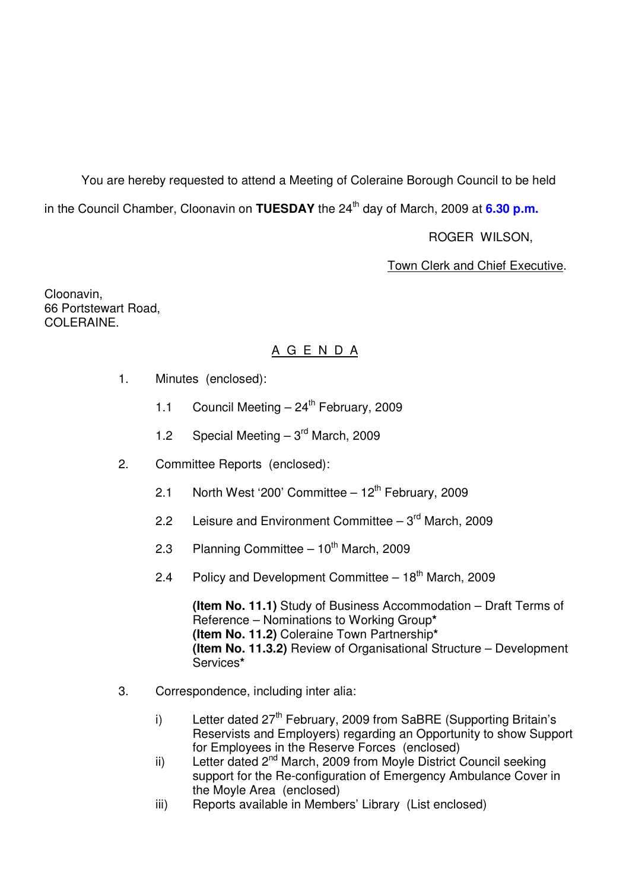You are hereby requested to attend a Meeting of Coleraine Borough Council to be held in the Council Chamber, Cloonavin on **TUESDAY** the 24<sup>th</sup> day of March, 2009 at 6.30 p.m.

ROGER WILSON,

Town Clerk and Chief Executive.

Cloonavin, 66 Portstewart Road, COLERAINE.

# A G E N D A

- 1. Minutes (enclosed):
	- 1.1 Council Meeting  $-24^{th}$  February, 2009
	- 1.2 Special Meeting  $-3<sup>rd</sup>$  March, 2009
- 2. Committee Reports (enclosed):
	- 2.1 North West '200' Committee  $-12^{th}$  February, 2009
	- 2.2 Leisure and Environment Committee  $-3<sup>rd</sup>$  March, 2009
	- 2.3 Planning Committee  $-10^{th}$  March, 2009
	- 2.4 Policy and Development Committee  $-18<sup>th</sup>$  March, 2009

**(Item No. 11.1)** Study of Business Accommodation – Draft Terms of Reference – Nominations to Working Group**\* (Item No. 11.2)** Coleraine Town Partnership**\* (Item No. 11.3.2)** Review of Organisational Structure – Development Services**\***

- 3. Correspondence, including inter alia:
	- i) Letter dated  $27<sup>th</sup>$  February, 2009 from SaBRE (Supporting Britain's Reservists and Employers) regarding an Opportunity to show Support for Employees in the Reserve Forces (enclosed)
	- ii) Letter dated 2<sup>nd</sup> March, 2009 from Moyle District Council seeking support for the Re-configuration of Emergency Ambulance Cover in the Moyle Area (enclosed)
	- iii) Reports available in Members' Library (List enclosed)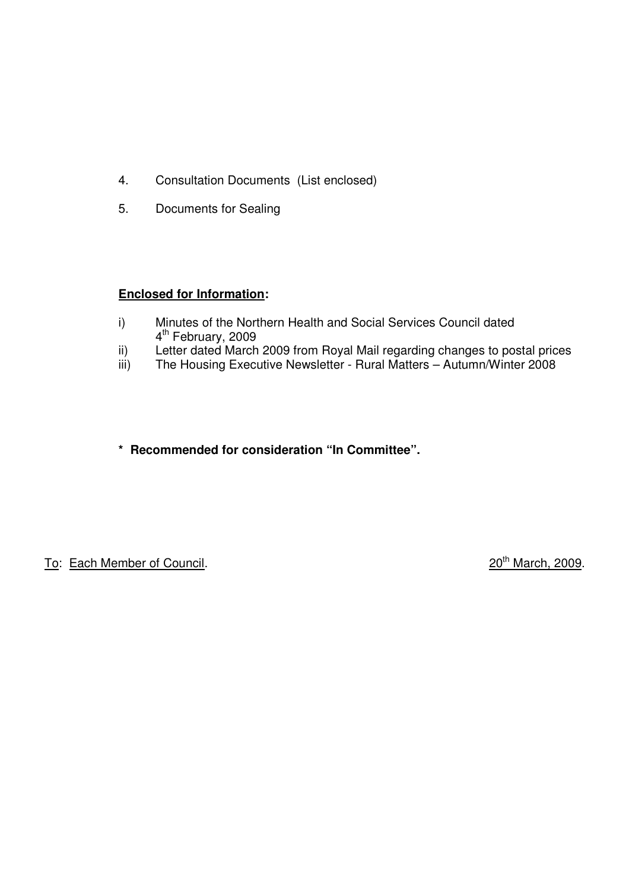- 4. Consultation Documents (List enclosed)
- 5. Documents for Sealing

# **Enclosed for Information:**

- i) Minutes of the Northern Health and Social Services Council dated 4<sup>th</sup> February, 2009
- ii) Letter dated March 2009 from Royal Mail regarding changes to postal prices
- iii) The Housing Executive Newsletter Rural Matters Autumn/Winter 2008
- **\* Recommended for consideration "In Committee".**

To: Each Member of Council. 2009.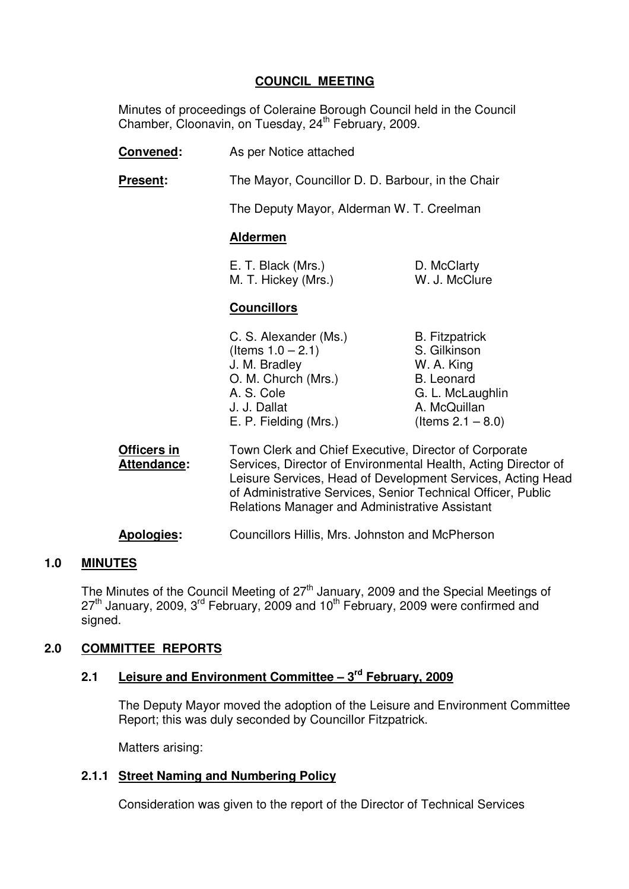# **COUNCIL MEETING**

 Minutes of proceedings of Coleraine Borough Council held in the Council Chamber, Cloonavin, on Tuesday, 24<sup>th</sup> February, 2009.

- **Convened:** As per Notice attached
- **Present:** The Mayor, Councillor D. D. Barbour, in the Chair

The Deputy Mayor, Alderman W. T. Creelman

### **Aldermen**

| E. T. Black (Mrs.)  | D. McClarty   |
|---------------------|---------------|
| M. T. Hickey (Mrs.) | W. J. McClure |

#### **Councillors**

| C. S. Alexander (Ms.) |
|-----------------------|
| (Items $1.0 - 2.1$ )  |
| J. M. Bradley         |
| O. M. Church (Mrs.)   |
| A. S. Cole            |
| J. J. Dallat          |
| E. P. Fielding (Mrs.) |

**B. Fitzpatrick** S. Gilkinson W. A. King B. Leonard G. L. McLaughlin A. McQuillan  $($ ltems 2.1 – 8.0)

**Officers in** Town Clerk and Chief Executive, Director of Corporate  **Attendance:** Services, Director of Environmental Health, Acting Director of Leisure Services, Head of Development Services, Acting Head of Administrative Services, Senior Technical Officer, Public Relations Manager and Administrative Assistant

**Apologies:** Councillors Hillis, Mrs. Johnston and McPherson

#### **1.0 MINUTES**

The Minutes of the Council Meeting of 27<sup>th</sup> January, 2009 and the Special Meetings of  $27<sup>th</sup>$  January, 2009, 3<sup>rd</sup> February, 2009 and 10<sup>th</sup> February, 2009 were confirmed and signed.

# **2.0 COMMITTEE REPORTS**

# **2.1 Leisure and Environment Committee – 3rd February, 2009**

The Deputy Mayor moved the adoption of the Leisure and Environment Committee Report; this was duly seconded by Councillor Fitzpatrick.

Matters arising:

#### **2.1.1 Street Naming and Numbering Policy**

Consideration was given to the report of the Director of Technical Services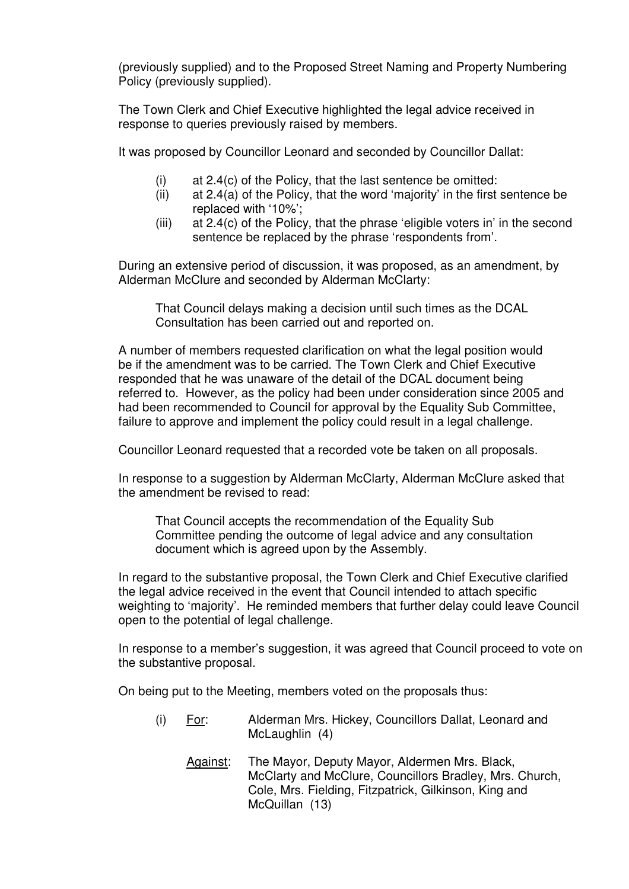(previously supplied) and to the Proposed Street Naming and Property Numbering Policy (previously supplied).

The Town Clerk and Chief Executive highlighted the legal advice received in response to queries previously raised by members.

It was proposed by Councillor Leonard and seconded by Councillor Dallat:

- (i) at 2.4(c) of the Policy, that the last sentence be omitted:
- (ii) at 2.4(a) of the Policy, that the word 'majority' in the first sentence be replaced with '10%';
- (iii) at 2.4(c) of the Policy, that the phrase 'eligible voters in' in the second sentence be replaced by the phrase 'respondents from'.

During an extensive period of discussion, it was proposed, as an amendment, by Alderman McClure and seconded by Alderman McClarty:

 That Council delays making a decision until such times as the DCAL Consultation has been carried out and reported on.

 A number of members requested clarification on what the legal position would be if the amendment was to be carried. The Town Clerk and Chief Executive responded that he was unaware of the detail of the DCAL document being referred to. However, as the policy had been under consideration since 2005 and had been recommended to Council for approval by the Equality Sub Committee, failure to approve and implement the policy could result in a legal challenge.

Councillor Leonard requested that a recorded vote be taken on all proposals.

In response to a suggestion by Alderman McClarty, Alderman McClure asked that the amendment be revised to read:

 That Council accepts the recommendation of the Equality Sub Committee pending the outcome of legal advice and any consultation document which is agreed upon by the Assembly.

In regard to the substantive proposal, the Town Clerk and Chief Executive clarified the legal advice received in the event that Council intended to attach specific weighting to 'majority'. He reminded members that further delay could leave Council open to the potential of legal challenge.

In response to a member's suggestion, it was agreed that Council proceed to vote on the substantive proposal.

On being put to the Meeting, members voted on the proposals thus:

- (i) For: Alderman Mrs. Hickey, Councillors Dallat, Leonard and McLaughlin (4)
	- Against: The Mayor, Deputy Mayor, Aldermen Mrs. Black, McClarty and McClure, Councillors Bradley, Mrs. Church, Cole, Mrs. Fielding, Fitzpatrick, Gilkinson, King and McQuillan (13)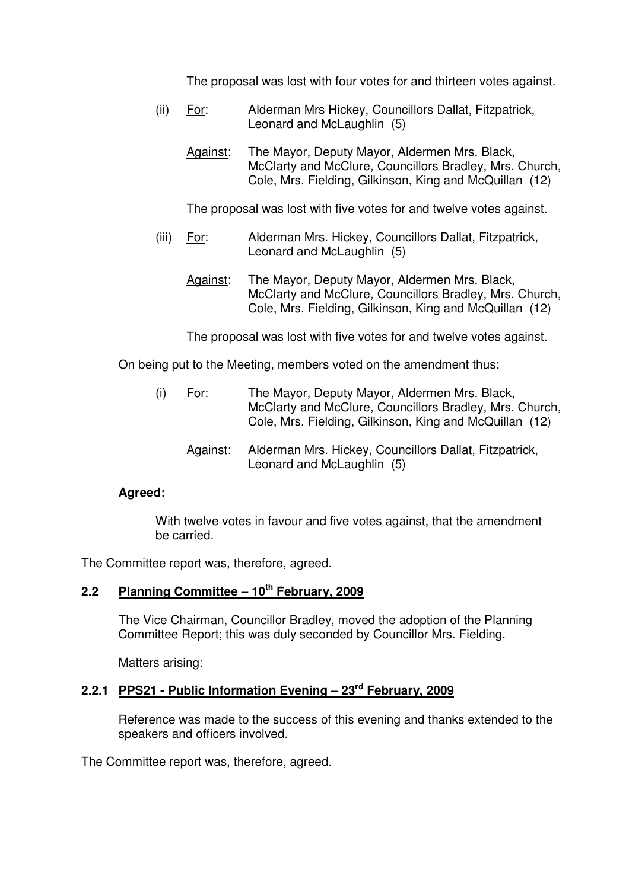The proposal was lost with four votes for and thirteen votes against.

- (ii) For: Alderman Mrs Hickey, Councillors Dallat, Fitzpatrick, Leonard and McLaughlin (5)
	- Against: The Mayor, Deputy Mayor, Aldermen Mrs. Black, McClarty and McClure, Councillors Bradley, Mrs. Church, Cole, Mrs. Fielding, Gilkinson, King and McQuillan (12)

The proposal was lost with five votes for and twelve votes against.

- (iii) For: Alderman Mrs. Hickey, Councillors Dallat, Fitzpatrick, Leonard and McLaughlin (5)
	- Against: The Mayor, Deputy Mayor, Aldermen Mrs. Black, McClarty and McClure, Councillors Bradley, Mrs. Church, Cole, Mrs. Fielding, Gilkinson, King and McQuillan (12)

The proposal was lost with five votes for and twelve votes against.

On being put to the Meeting, members voted on the amendment thus:

- (i) For: The Mayor, Deputy Mayor, Aldermen Mrs. Black, McClarty and McClure, Councillors Bradley, Mrs. Church, Cole, Mrs. Fielding, Gilkinson, King and McQuillan (12)
	- Against: Alderman Mrs. Hickey, Councillors Dallat, Fitzpatrick, Leonard and McLaughlin (5)

# **Agreed:**

With twelve votes in favour and five votes against, that the amendment be carried.

The Committee report was, therefore, agreed.

# **2.2 Planning Committee – 10th February, 2009**

The Vice Chairman, Councillor Bradley, moved the adoption of the Planning Committee Report; this was duly seconded by Councillor Mrs. Fielding.

Matters arising:

# **2.2.1 PPS21 - Public Information Evening – 23rd February, 2009**

 Reference was made to the success of this evening and thanks extended to the speakers and officers involved.

The Committee report was, therefore, agreed.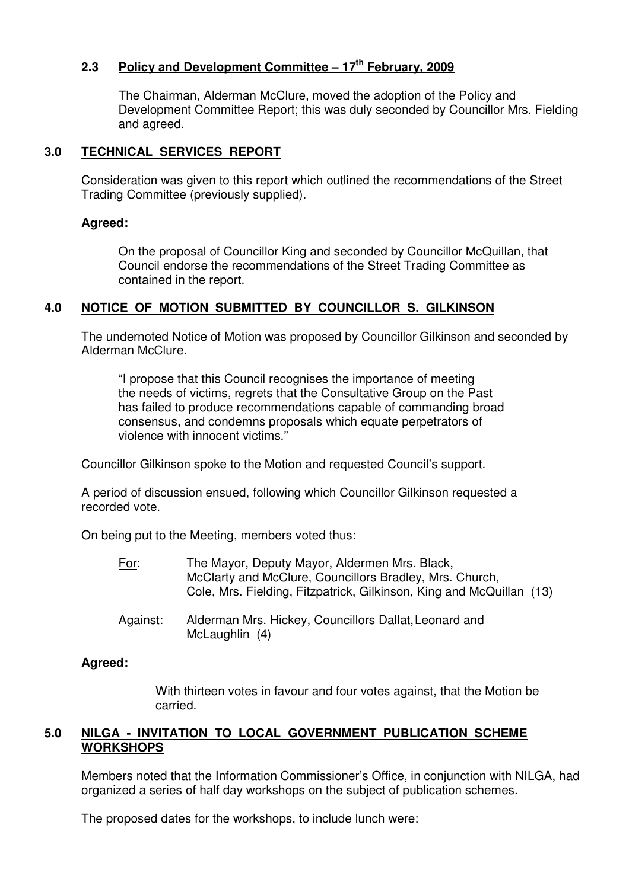# **2.3 Policy and Development Committee – 17th February, 2009**

The Chairman, Alderman McClure, moved the adoption of the Policy and Development Committee Report; this was duly seconded by Councillor Mrs. Fielding and agreed.

# **3.0 TECHNICAL SERVICES REPORT**

 Consideration was given to this report which outlined the recommendations of the Street Trading Committee (previously supplied).

# **Agreed:**

On the proposal of Councillor King and seconded by Councillor McQuillan, that Council endorse the recommendations of the Street Trading Committee as contained in the report.

# **4.0 NOTICE OF MOTION SUBMITTED BY COUNCILLOR S. GILKINSON**

 The undernoted Notice of Motion was proposed by Councillor Gilkinson and seconded by Alderman McClure.

 "I propose that this Council recognises the importance of meeting the needs of victims, regrets that the Consultative Group on the Past has failed to produce recommendations capable of commanding broad consensus, and condemns proposals which equate perpetrators of violence with innocent victims."

Councillor Gilkinson spoke to the Motion and requested Council's support.

 A period of discussion ensued, following which Councillor Gilkinson requested a recorded vote.

On being put to the Meeting, members voted thus:

- For:The Mayor, Deputy Mayor, Aldermen Mrs. Black, McClarty and McClure, Councillors Bradley, Mrs. Church, Cole, Mrs. Fielding, Fitzpatrick, Gilkinson, King and McQuillan (13)
- Against: Alderman Mrs. Hickey, Councillors Dallat, Leonard and McLaughlin (4)

# **Agreed:**

With thirteen votes in favour and four votes against, that the Motion be carried.

# **5.0 NILGA - INVITATION TO LOCAL GOVERNMENT PUBLICATION SCHEME WORKSHOPS**

Members noted that the Information Commissioner's Office, in conjunction with NILGA, had organized a series of half day workshops on the subject of publication schemes.

The proposed dates for the workshops, to include lunch were: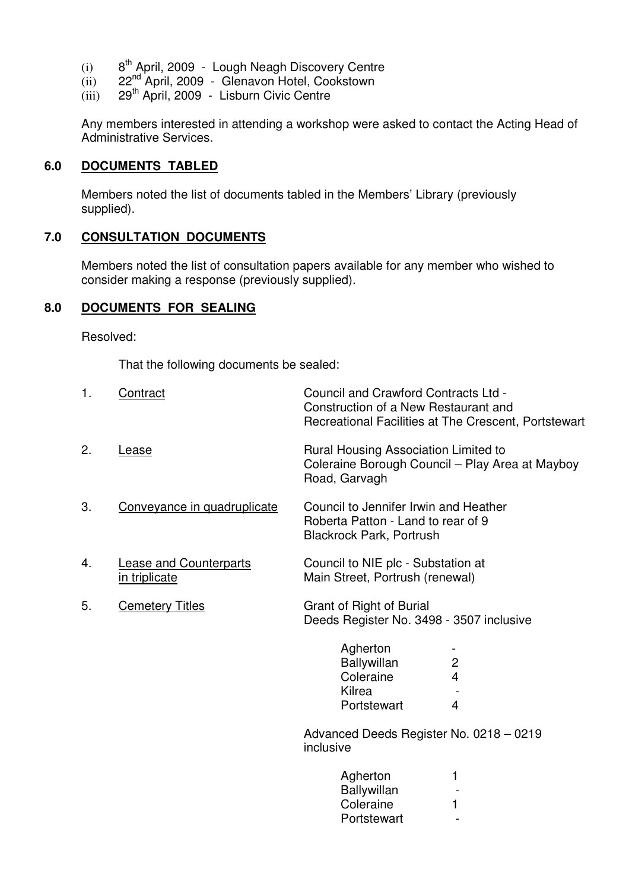- $(i)$  8<sup>th</sup> April, 2009 Lough Neagh Discovery Centre
- (ii) 22nd April, 2009 Glenavon Hotel, Cookstown
- (iii) 29<sup>th</sup> April, 2009 Lisburn Civic Centre

Any members interested in attending a workshop were asked to contact the Acting Head of Administrative Services.

### **6.0 DOCUMENTS TABLED**

Members noted the list of documents tabled in the Members' Library (previously supplied).

# **7.0 CONSULTATION DOCUMENTS**

Members noted the list of consultation papers available for any member who wished to consider making a response (previously supplied).

### **8.0 DOCUMENTS FOR SEALING**

Resolved:

That the following documents be sealed:

| 1. | Contract                                       | Council and Crawford Contracts Ltd -<br>Construction of a New Restaurant and<br>Recreational Facilities at The Crescent, Portstewart                         |
|----|------------------------------------------------|--------------------------------------------------------------------------------------------------------------------------------------------------------------|
| 2. | Lease                                          | Rural Housing Association Limited to<br>Coleraine Borough Council - Play Area at Mayboy<br>Road, Garvagh                                                     |
| 3. | Conveyance in quadruplicate                    | Council to Jennifer Irwin and Heather<br>Roberta Patton - Land to rear of 9<br><b>Blackrock Park, Portrush</b>                                               |
| 4. | <b>Lease and Counterparts</b><br>in triplicate | Council to NIE plc - Substation at<br>Main Street, Portrush (renewal)                                                                                        |
| 5. | <b>Cemetery Titles</b>                         | Grant of Right of Burial<br>Deeds Register No. 3498 - 3507 inclusive                                                                                         |
|    |                                                | Agherton<br>Ballywillan<br>$\mathbf{2}$<br>$\overline{4}$<br>Coleraine<br>Kilrea<br>$\overline{4}$<br>Portstewart<br>Advanced Deeds Register No. 0218 - 0219 |
|    |                                                | inclusive                                                                                                                                                    |
|    |                                                | Agherton<br>1<br>Ballywillan<br>Coleraine<br>1<br>Portstewart                                                                                                |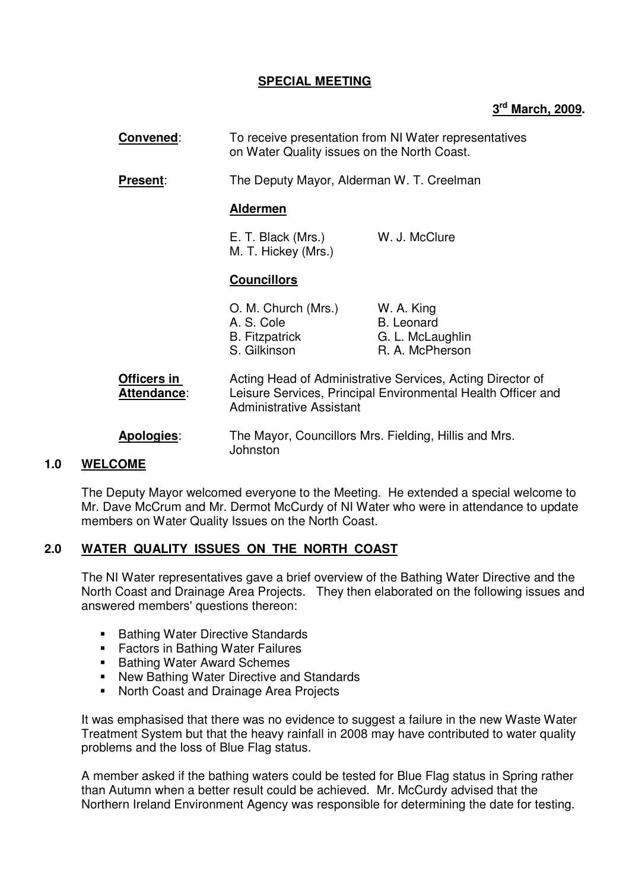# **SPECIAL MEETING**

# **3 rd March, 2009.**

| Convened:                         | To receive presentation from NI Water representatives<br>on Water Quality issues on the North Coast. |                                                                                                                            |
|-----------------------------------|------------------------------------------------------------------------------------------------------|----------------------------------------------------------------------------------------------------------------------------|
| <b>Present:</b>                   | The Deputy Mayor, Alderman W. T. Creelman                                                            |                                                                                                                            |
|                                   | <b>Aldermen</b>                                                                                      |                                                                                                                            |
|                                   | E. T. Black (Mrs.)<br>M. T. Hickey (Mrs.)                                                            | W. J. McClure                                                                                                              |
|                                   | <b>Councillors</b>                                                                                   |                                                                                                                            |
|                                   | O. M. Church (Mrs.)<br>A. S. Cole<br><b>B.</b> Fitzpatrick<br>S. Gilkinson                           | W. A. King<br><b>B.</b> Leonard<br>G. L. McLaughlin<br>R. A. McPherson                                                     |
| Officers in<br><b>Attendance:</b> | <b>Administrative Assistant</b>                                                                      | Acting Head of Administrative Services, Acting Director of<br>Leisure Services, Principal Environmental Health Officer and |
| <b>Apologies:</b>                 | The Mayor, Councillors Mrs. Fielding, Hillis and Mrs.<br>Johnston                                    |                                                                                                                            |

#### **1.0 WELCOME**

The Deputy Mayor welcomed everyone to the Meeting. He extended a special welcome to Mr. Dave McCrum and Mr. Dermot McCurdy of NI Water who were in attendance to update members on Water Quality Issues on the North Coast.

# **2.0 WATER QUALITY ISSUES ON THE NORTH COAST**

The NI Water representatives gave a brief overview of the Bathing Water Directive and the North Coast and Drainage Area Projects. They then elaborated on the following issues and answered members' questions thereon:

- **Bathing Water Directive Standards**
- **Factors in Bathing Water Failures**
- Bathing Water Award Schemes
- New Bathing Water Directive and Standards
- **North Coast and Drainage Area Projects**

It was emphasised that there was no evidence to suggest a failure in the new Waste Water Treatment System but that the heavy rainfall in 2008 may have contributed to water quality problems and the loss of Blue Flag status.

A member asked if the bathing waters could be tested for Blue Flag status in Spring rather than Autumn when a better result could be achieved. Mr. McCurdy advised that the Northern Ireland Environment Agency was responsible for determining the date for testing.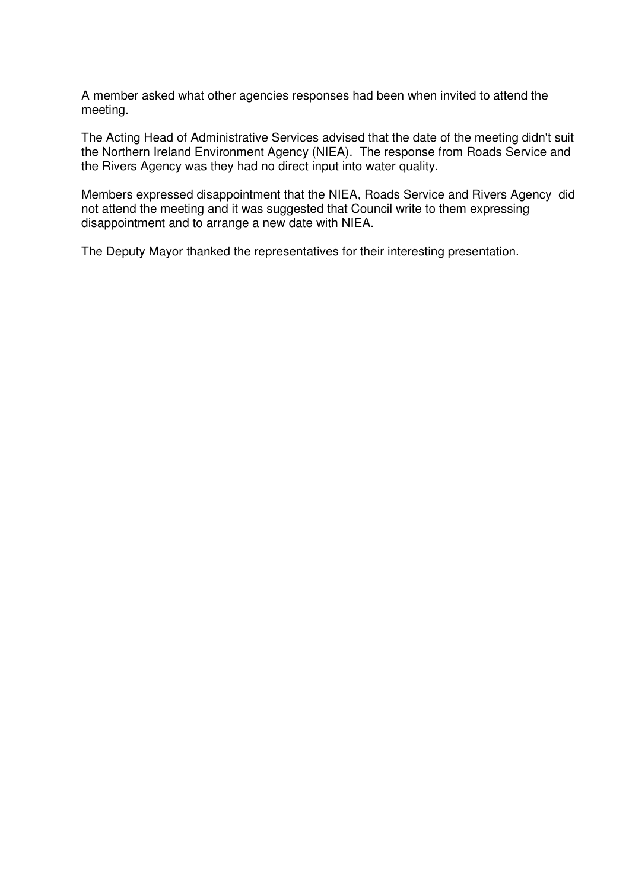A member asked what other agencies responses had been when invited to attend the meeting.

The Acting Head of Administrative Services advised that the date of the meeting didn't suit the Northern Ireland Environment Agency (NIEA). The response from Roads Service and the Rivers Agency was they had no direct input into water quality.

Members expressed disappointment that the NIEA, Roads Service and Rivers Agency did not attend the meeting and it was suggested that Council write to them expressing disappointment and to arrange a new date with NIEA.

The Deputy Mayor thanked the representatives for their interesting presentation.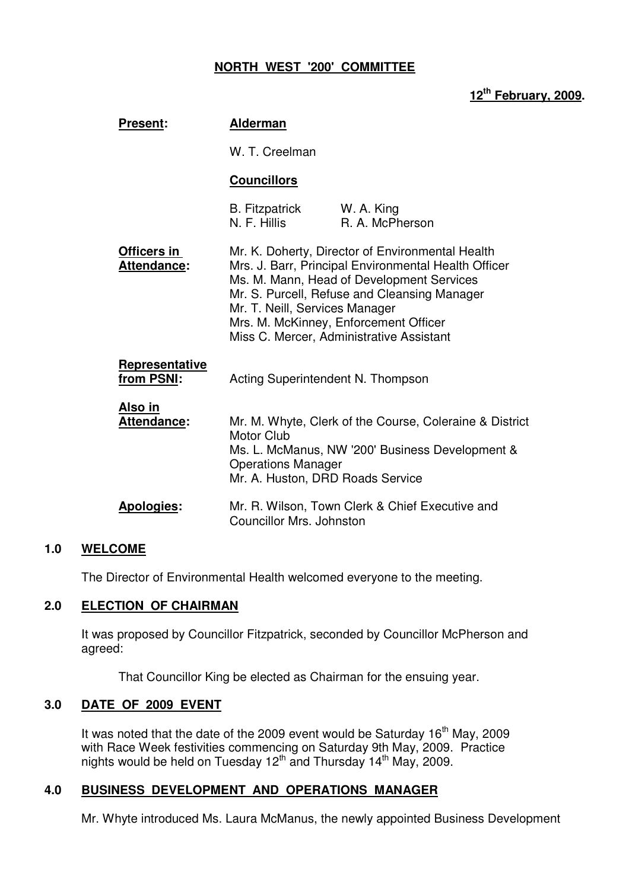# **NORTH WEST '200' COMMITTEE**

# **12th February, 2009.**

| <b>Present:</b>                     | <b>Alderman</b>                                                                    |                                                                                                                                                                                                                                                                                            |
|-------------------------------------|------------------------------------------------------------------------------------|--------------------------------------------------------------------------------------------------------------------------------------------------------------------------------------------------------------------------------------------------------------------------------------------|
|                                     | W. T. Creelman                                                                     |                                                                                                                                                                                                                                                                                            |
|                                     | <b>Councillors</b>                                                                 |                                                                                                                                                                                                                                                                                            |
|                                     | <b>B.</b> Fitzpatrick<br>N. F. Hillis                                              | W. A. King<br>R. A. McPherson                                                                                                                                                                                                                                                              |
| Officers in<br>Attendance:          | Mr. T. Neill, Services Manager                                                     | Mr. K. Doherty, Director of Environmental Health<br>Mrs. J. Barr, Principal Environmental Health Officer<br>Ms. M. Mann, Head of Development Services<br>Mr. S. Purcell, Refuse and Cleansing Manager<br>Mrs. M. McKinney, Enforcement Officer<br>Miss C. Mercer, Administrative Assistant |
| <b>Representative</b><br>from PSNI: | Acting Superintendent N. Thompson                                                  |                                                                                                                                                                                                                                                                                            |
| <u>Also in</u><br>Attendance:       | <b>Motor Club</b><br><b>Operations Manager</b><br>Mr. A. Huston, DRD Roads Service | Mr. M. Whyte, Clerk of the Course, Coleraine & District<br>Ms. L. McManus, NW '200' Business Development &                                                                                                                                                                                 |
| <b>Apologies:</b>                   | Councillor Mrs. Johnston                                                           | Mr. R. Wilson, Town Clerk & Chief Executive and                                                                                                                                                                                                                                            |

#### **1.0 WELCOME**

The Director of Environmental Health welcomed everyone to the meeting.

#### **2.0 ELECTION OF CHAIRMAN**

 It was proposed by Councillor Fitzpatrick, seconded by Councillor McPherson and agreed:

That Councillor King be elected as Chairman for the ensuing year.

#### **3.0 DATE OF 2009 EVENT**

It was noted that the date of the 2009 event would be Saturday  $16<sup>th</sup>$  May, 2009 with Race Week festivities commencing on Saturday 9th May, 2009. Practice nights would be held on Tuesday  $12<sup>th</sup>$  and Thursday  $14<sup>th</sup>$  May, 2009.

#### **4.0 BUSINESS DEVELOPMENT AND OPERATIONS MANAGER**

Mr. Whyte introduced Ms. Laura McManus, the newly appointed Business Development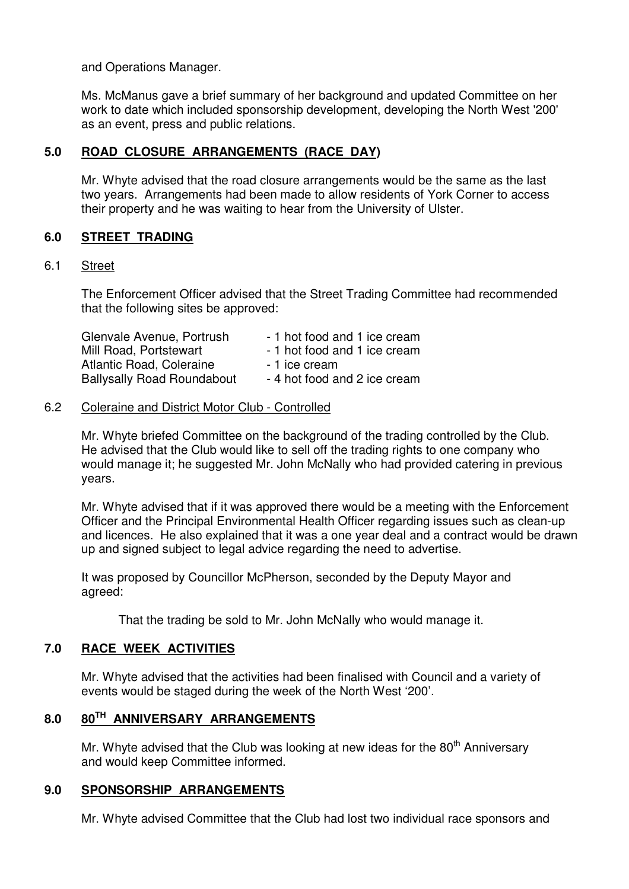and Operations Manager.

 Ms. McManus gave a brief summary of her background and updated Committee on her work to date which included sponsorship development, developing the North West '200' as an event, press and public relations.

# **5.0 ROAD CLOSURE ARRANGEMENTS (RACE DAY)**

 Mr. Whyte advised that the road closure arrangements would be the same as the last two years. Arrangements had been made to allow residents of York Corner to access their property and he was waiting to hear from the University of Ulster.

# **6.0 STREET TRADING**

# 6.1 Street

 The Enforcement Officer advised that the Street Trading Committee had recommended that the following sites be approved:

| Glenvale Avenue, Portrush         | - 1 hot food and 1 ice cream |
|-----------------------------------|------------------------------|
| Mill Road, Portstewart            | - 1 hot food and 1 ice cream |
| Atlantic Road, Coleraine          | - 1 ice cream                |
| <b>Ballysally Road Roundabout</b> | - 4 hot food and 2 ice cream |

### 6.2 Coleraine and District Motor Club - Controlled

 Mr. Whyte briefed Committee on the background of the trading controlled by the Club. He advised that the Club would like to sell off the trading rights to one company who would manage it; he suggested Mr. John McNally who had provided catering in previous years.

Mr. Whyte advised that if it was approved there would be a meeting with the Enforcement Officer and the Principal Environmental Health Officer regarding issues such as clean-up and licences. He also explained that it was a one year deal and a contract would be drawn up and signed subject to legal advice regarding the need to advertise.

 It was proposed by Councillor McPherson, seconded by the Deputy Mayor and agreed:

That the trading be sold to Mr. John McNally who would manage it.

# **7.0 RACE WEEK ACTIVITIES**

 Mr. Whyte advised that the activities had been finalised with Council and a variety of events would be staged during the week of the North West '200'.

# **8.0 80TH ANNIVERSARY ARRANGEMENTS**

Mr. Whyte advised that the Club was looking at new ideas for the  $80<sup>th</sup>$  Anniversary and would keep Committee informed.

# **9.0 SPONSORSHIP ARRANGEMENTS**

Mr. Whyte advised Committee that the Club had lost two individual race sponsors and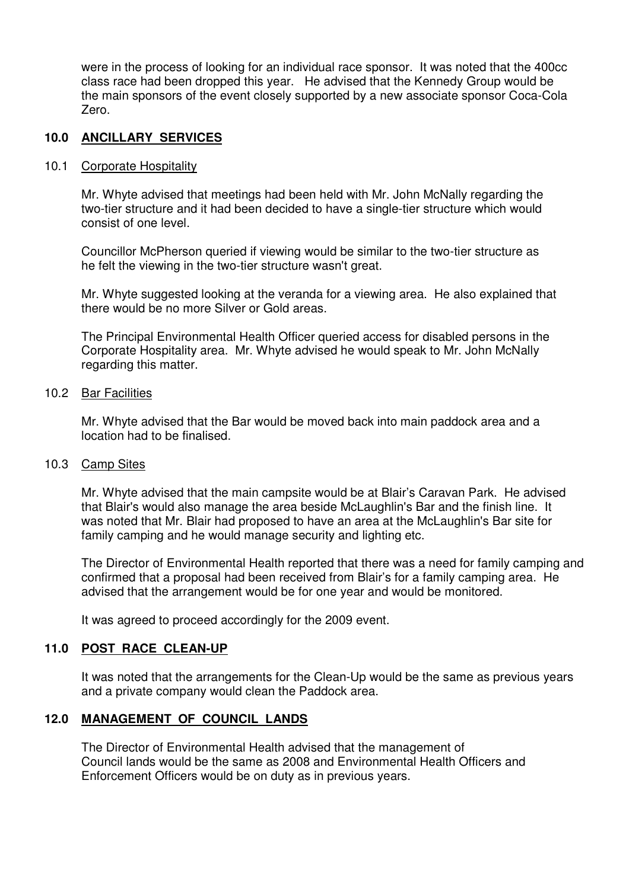were in the process of looking for an individual race sponsor. It was noted that the 400cc class race had been dropped this year. He advised that the Kennedy Group would be the main sponsors of the event closely supported by a new associate sponsor Coca-Cola Zero.

# **10.0 ANCILLARY SERVICES**

#### 10.1 Corporate Hospitality

 Mr. Whyte advised that meetings had been held with Mr. John McNally regarding the two-tier structure and it had been decided to have a single-tier structure which would consist of one level.

 Councillor McPherson queried if viewing would be similar to the two-tier structure as he felt the viewing in the two-tier structure wasn't great.

Mr. Whyte suggested looking at the veranda for a viewing area. He also explained that there would be no more Silver or Gold areas.

 The Principal Environmental Health Officer queried access for disabled persons in the Corporate Hospitality area. Mr. Whyte advised he would speak to Mr. John McNally regarding this matter.

#### 10.2 Bar Facilities

Mr. Whyte advised that the Bar would be moved back into main paddock area and a location had to be finalised.

#### 10.3 Camp Sites

 Mr. Whyte advised that the main campsite would be at Blair's Caravan Park. He advised that Blair's would also manage the area beside McLaughlin's Bar and the finish line. It was noted that Mr. Blair had proposed to have an area at the McLaughlin's Bar site for family camping and he would manage security and lighting etc.

The Director of Environmental Health reported that there was a need for family camping and confirmed that a proposal had been received from Blair's for a family camping area. He advised that the arrangement would be for one year and would be monitored.

It was agreed to proceed accordingly for the 2009 event.

#### **11.0 POST RACE CLEAN-UP**

It was noted that the arrangements for the Clean-Up would be the same as previous years and a private company would clean the Paddock area.

# **12.0 MANAGEMENT OF COUNCIL LANDS**

 The Director of Environmental Health advised that the management of Council lands would be the same as 2008 and Environmental Health Officers and Enforcement Officers would be on duty as in previous years.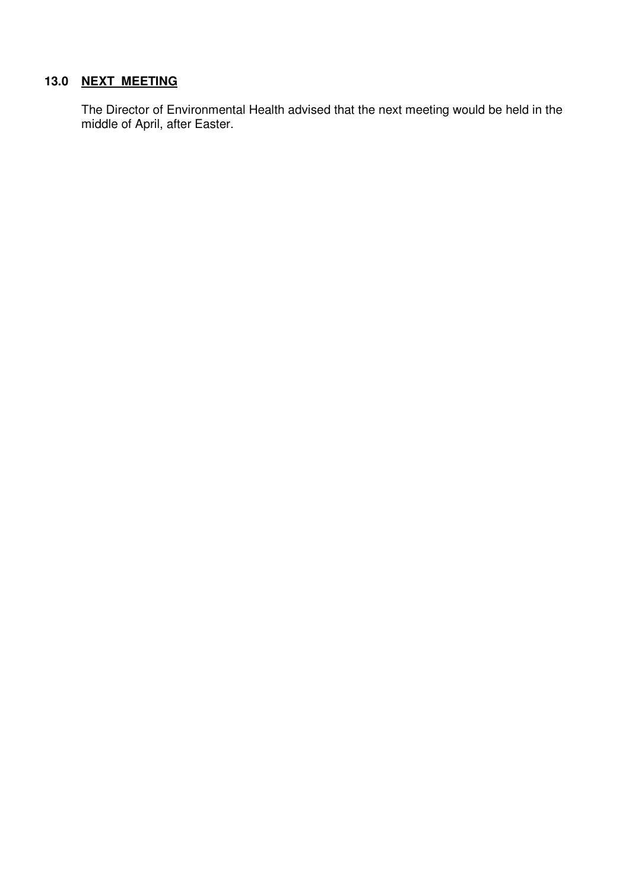# **13.0 NEXT MEETING**

The Director of Environmental Health advised that the next meeting would be held in the middle of April, after Easter.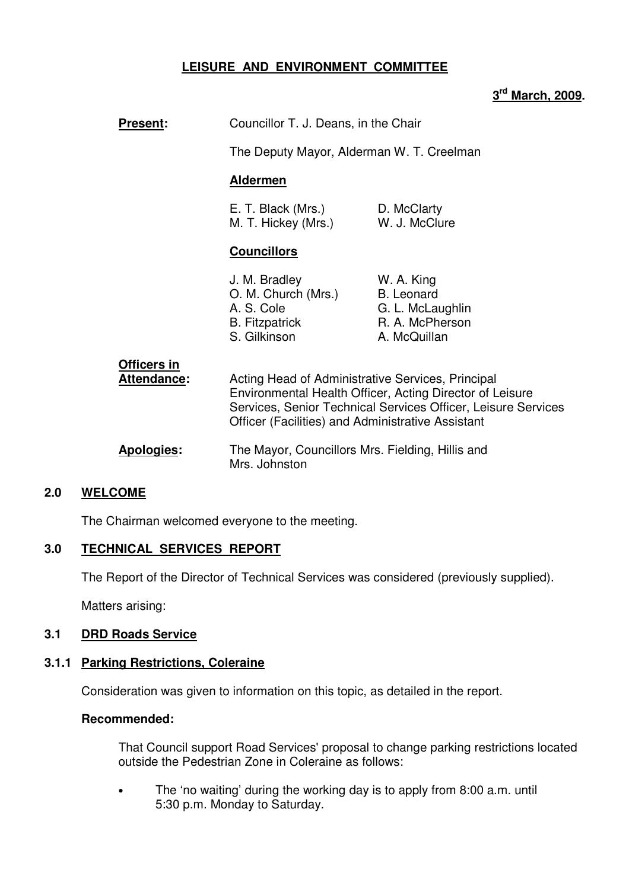# **LEISURE AND ENVIRONMENT COMMITTEE**

# **3 rd March, 2009.**

| <b>Present:</b>            | Councillor T. J. Deans, in the Chair                                                                   |                                                                                                                           |
|----------------------------|--------------------------------------------------------------------------------------------------------|---------------------------------------------------------------------------------------------------------------------------|
|                            | The Deputy Mayor, Alderman W. T. Creelman                                                              |                                                                                                                           |
|                            | <b>Aldermen</b>                                                                                        |                                                                                                                           |
|                            | E. T. Black (Mrs.) D. McClarty<br>M. T. Hickey (Mrs.) W. J. McClure                                    |                                                                                                                           |
|                            | <b>Councillors</b>                                                                                     |                                                                                                                           |
|                            | J. M. Bradley<br>O. M. Church (Mrs.)<br>A. S. Cole<br><b>B.</b> Fitzpatrick<br>S. Gilkinson            | W. A. King<br><b>B.</b> Leonard<br>G. L. McLaughlin<br>R. A. McPherson<br>A. McQuillan                                    |
| Officers in<br>Attendance: | Acting Head of Administrative Services, Principal<br>Officer (Facilities) and Administrative Assistant | Environmental Health Officer, Acting Director of Leisure<br>Services, Senior Technical Services Officer, Leisure Services |

 **Apologies:** The Mayor, Councillors Mrs. Fielding, Hillis and Mrs. Johnston

# **2.0 WELCOME**

The Chairman welcomed everyone to the meeting.

#### **3.0 TECHNICAL SERVICES REPORT**

The Report of the Director of Technical Services was considered (previously supplied).

Matters arising:

#### **3.1 DRD Roads Service**

#### **3.1.1 Parking Restrictions, Coleraine**

Consideration was given to information on this topic, as detailed in the report.

#### **Recommended:**

That Council support Road Services' proposal to change parking restrictions located outside the Pedestrian Zone in Coleraine as follows:

• The 'no waiting' during the working day is to apply from 8:00 a.m. until 5:30 p.m. Monday to Saturday.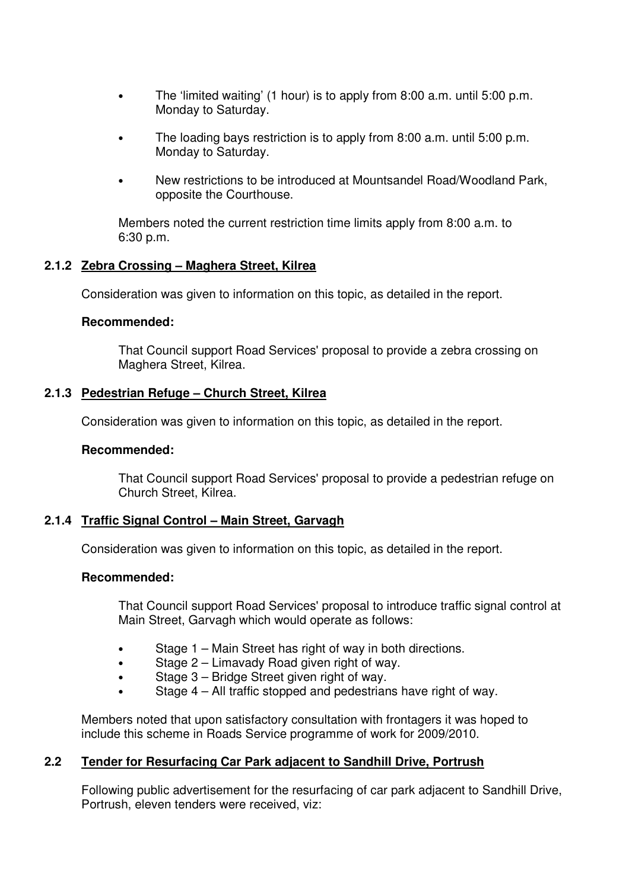- The 'limited waiting' (1 hour) is to apply from 8:00 a.m. until 5:00 p.m. Monday to Saturday.
- The loading bays restriction is to apply from 8:00 a.m. until 5:00 p.m. Monday to Saturday.
- New restrictions to be introduced at Mountsandel Road/Woodland Park, opposite the Courthouse.

 Members noted the current restriction time limits apply from 8:00 a.m. to 6:30 p.m.

# **2.1.2 Zebra Crossing – Maghera Street, Kilrea**

Consideration was given to information on this topic, as detailed in the report.

### **Recommended:**

 That Council support Road Services' proposal to provide a zebra crossing on Maghera Street, Kilrea.

### **2.1.3 Pedestrian Refuge – Church Street, Kilrea**

Consideration was given to information on this topic, as detailed in the report.

#### **Recommended:**

 That Council support Road Services' proposal to provide a pedestrian refuge on Church Street, Kilrea.

# **2.1.4 Traffic Signal Control – Main Street, Garvagh**

Consideration was given to information on this topic, as detailed in the report.

#### **Recommended:**

 That Council support Road Services' proposal to introduce traffic signal control at Main Street, Garvagh which would operate as follows:

- Stage 1 Main Street has right of way in both directions.
- Stage 2 Limavady Road given right of way.
- Stage 3 Bridge Street given right of way.
- Stage 4 All traffic stopped and pedestrians have right of way.

 Members noted that upon satisfactory consultation with frontagers it was hoped to include this scheme in Roads Service programme of work for 2009/2010.

# **2.2 Tender for Resurfacing Car Park adjacent to Sandhill Drive, Portrush**

 Following public advertisement for the resurfacing of car park adjacent to Sandhill Drive, Portrush, eleven tenders were received, viz: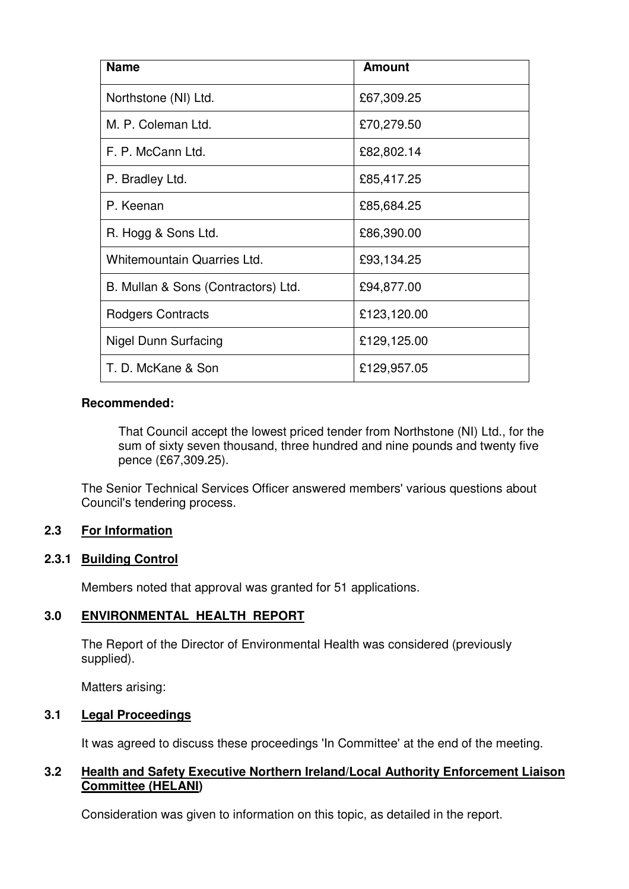| <b>Name</b>                         | <b>Amount</b> |
|-------------------------------------|---------------|
| Northstone (NI) Ltd.                | £67,309.25    |
| M. P. Coleman Ltd.                  | £70,279.50    |
| F. P. McCann Ltd.                   | £82,802.14    |
| P. Bradley Ltd.                     | £85,417.25    |
| P. Keenan                           | £85,684.25    |
| R. Hogg & Sons Ltd.                 | £86,390.00    |
| Whitemountain Quarries Ltd.         | £93,134.25    |
| B. Mullan & Sons (Contractors) Ltd. | £94,877.00    |
| Rodgers Contracts                   | £123,120.00   |
| <b>Nigel Dunn Surfacing</b>         | £129,125.00   |
| T. D. McKane & Son                  | £129,957.05   |

# **Recommended:**

 That Council accept the lowest priced tender from Northstone (NI) Ltd., for the sum of sixty seven thousand, three hundred and nine pounds and twenty five pence (£67,309.25).

 The Senior Technical Services Officer answered members' various questions about Council's tendering process.

# **2.3 For Information**

# **2.3.1 Building Control**

Members noted that approval was granted for 51 applications.

# **3.0 ENVIRONMENTAL HEALTH REPORT**

 The Report of the Director of Environmental Health was considered (previously supplied).

Matters arising:

# **3.1 Legal Proceedings**

It was agreed to discuss these proceedings 'In Committee' at the end of the meeting.

# **3.2 Health and Safety Executive Northern Ireland/Local Authority Enforcement Liaison Committee (HELANI)**

Consideration was given to information on this topic, as detailed in the report.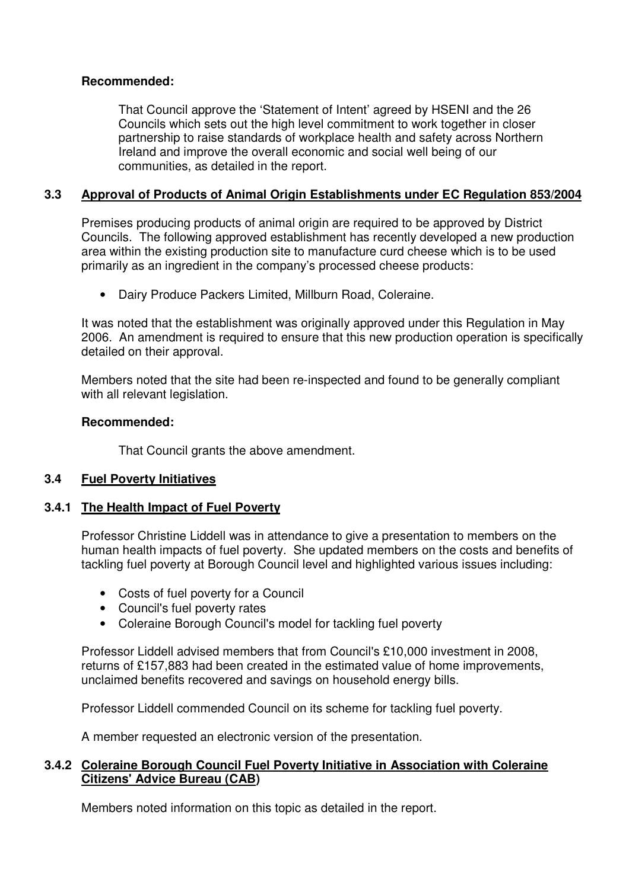# **Recommended:**

 That Council approve the 'Statement of Intent' agreed by HSENI and the 26 Councils which sets out the high level commitment to work together in closer partnership to raise standards of workplace health and safety across Northern Ireland and improve the overall economic and social well being of our communities, as detailed in the report.

# **3.3 Approval of Products of Animal Origin Establishments under EC Regulation 853/2004**

Premises producing products of animal origin are required to be approved by District Councils. The following approved establishment has recently developed a new production area within the existing production site to manufacture curd cheese which is to be used primarily as an ingredient in the company's processed cheese products:

• Dairy Produce Packers Limited, Millburn Road, Coleraine.

It was noted that the establishment was originally approved under this Regulation in May 2006. An amendment is required to ensure that this new production operation is specifically detailed on their approval.

Members noted that the site had been re-inspected and found to be generally compliant with all relevant legislation.

# **Recommended:**

That Council grants the above amendment.

# **3.4 Fuel Poverty Initiatives**

# **3.4.1 The Health Impact of Fuel Poverty**

Professor Christine Liddell was in attendance to give a presentation to members on the human health impacts of fuel poverty. She updated members on the costs and benefits of tackling fuel poverty at Borough Council level and highlighted various issues including:

- Costs of fuel poverty for a Council
- Council's fuel poverty rates
- Coleraine Borough Council's model for tackling fuel poverty

 Professor Liddell advised members that from Council's £10,000 investment in 2008, returns of £157,883 had been created in the estimated value of home improvements, unclaimed benefits recovered and savings on household energy bills.

Professor Liddell commended Council on its scheme for tackling fuel poverty.

A member requested an electronic version of the presentation.

### **3.4.2 Coleraine Borough Council Fuel Poverty Initiative in Association with Coleraine Citizens' Advice Bureau (CAB)**

Members noted information on this topic as detailed in the report.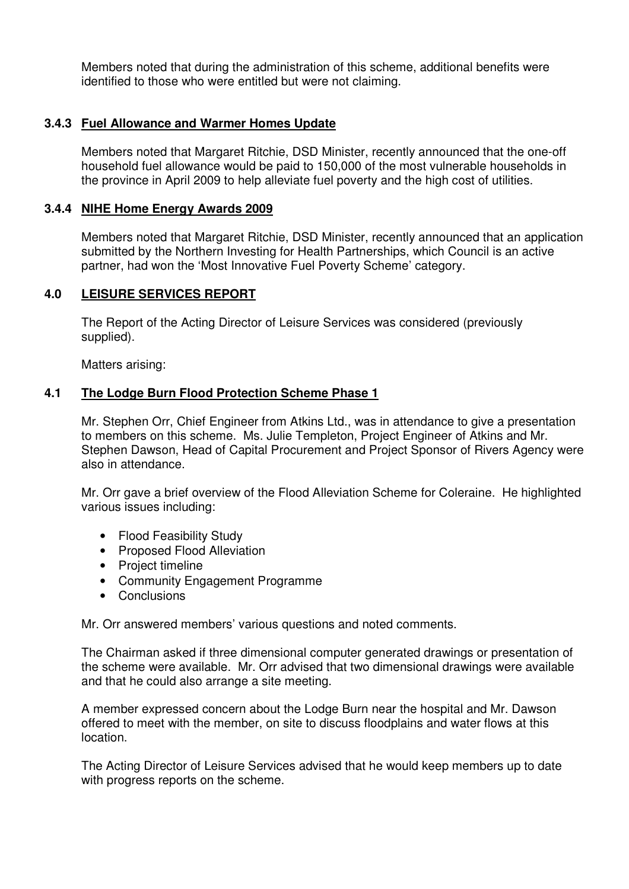Members noted that during the administration of this scheme, additional benefits were identified to those who were entitled but were not claiming.

# **3.4.3 Fuel Allowance and Warmer Homes Update**

Members noted that Margaret Ritchie, DSD Minister, recently announced that the one-off household fuel allowance would be paid to 150,000 of the most vulnerable households in the province in April 2009 to help alleviate fuel poverty and the high cost of utilities.

# **3.4.4 NIHE Home Energy Awards 2009**

Members noted that Margaret Ritchie, DSD Minister, recently announced that an application submitted by the Northern Investing for Health Partnerships, which Council is an active partner, had won the 'Most Innovative Fuel Poverty Scheme' category.

# **4.0 LEISURE SERVICES REPORT**

The Report of the Acting Director of Leisure Services was considered (previously supplied).

Matters arising:

# **4.1 The Lodge Burn Flood Protection Scheme Phase 1**

Mr. Stephen Orr, Chief Engineer from Atkins Ltd., was in attendance to give a presentation to members on this scheme. Ms. Julie Templeton, Project Engineer of Atkins and Mr. Stephen Dawson, Head of Capital Procurement and Project Sponsor of Rivers Agency were also in attendance.

Mr. Orr gave a brief overview of the Flood Alleviation Scheme for Coleraine. He highlighted various issues including:

- Flood Feasibility Study
- Proposed Flood Alleviation
- Project timeline
- Community Engagement Programme
- Conclusions

Mr. Orr answered members' various questions and noted comments.

The Chairman asked if three dimensional computer generated drawings or presentation of the scheme were available. Mr. Orr advised that two dimensional drawings were available and that he could also arrange a site meeting.

A member expressed concern about the Lodge Burn near the hospital and Mr. Dawson offered to meet with the member, on site to discuss floodplains and water flows at this location.

The Acting Director of Leisure Services advised that he would keep members up to date with progress reports on the scheme.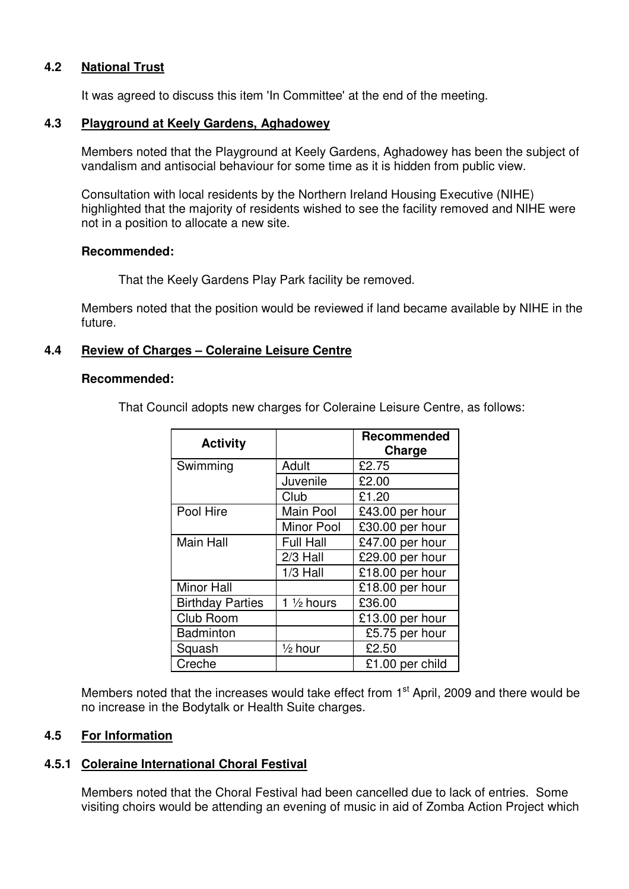# **4.2 National Trust**

It was agreed to discuss this item 'In Committee' at the end of the meeting.

### **4.3 Playground at Keely Gardens, Aghadowey**

Members noted that the Playground at Keely Gardens, Aghadowey has been the subject of vandalism and antisocial behaviour for some time as it is hidden from public view.

Consultation with local residents by the Northern Ireland Housing Executive (NIHE) highlighted that the majority of residents wished to see the facility removed and NIHE were not in a position to allocate a new site.

### **Recommended:**

That the Keely Gardens Play Park facility be removed.

Members noted that the position would be reviewed if land became available by NIHE in the future.

### **4.4 Review of Charges – Coleraine Leisure Centre**

#### **Recommended:**

That Council adopts new charges for Coleraine Leisure Centre, as follows:

| <b>Activity</b>         |                       | Recommended<br>Charge                |
|-------------------------|-----------------------|--------------------------------------|
| Swimming                | Adult                 | £2.75                                |
|                         | Juvenile              | £2.00                                |
|                         | Club                  | £1.20                                |
| Pool Hire               | Main Pool             | £43.00 per hour                      |
|                         | <b>Minor Pool</b>     | £30.00 per hour                      |
| <b>Main Hall</b>        | <b>Full Hall</b>      | £47.00 per hour                      |
|                         | $2/3$ Hall            | £29.00 per hour                      |
|                         | $1/3$ Hall            | £18.00 per hour                      |
| <b>Minor Hall</b>       |                       | $\overline{\text{£}}$ 18.00 per hour |
| <b>Birthday Parties</b> | 1 $\frac{1}{2}$ hours | £36.00                               |
| Club Room               |                       | £13.00 per hour                      |
| <b>Badminton</b>        |                       | £5.75 per hour                       |
| Squash                  | $\frac{1}{2}$ hour    | £2.50                                |
| Creche                  |                       | £1.00 per child                      |

Members noted that the increases would take effect from 1<sup>st</sup> April, 2009 and there would be no increase in the Bodytalk or Health Suite charges.

# **4.5 For Information**

# **4.5.1 Coleraine International Choral Festival**

Members noted that the Choral Festival had been cancelled due to lack of entries. Some visiting choirs would be attending an evening of music in aid of Zomba Action Project which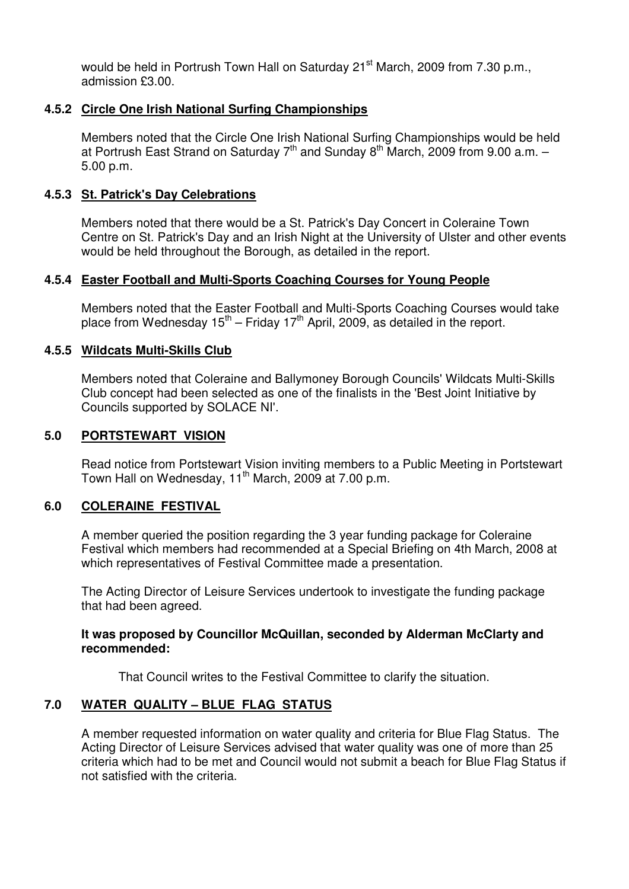would be held in Portrush Town Hall on Saturday 21<sup>st</sup> March, 2009 from 7.30 p.m., admission £3.00.

# **4.5.2 Circle One Irish National Surfing Championships**

 Members noted that the Circle One Irish National Surfing Championships would be held at Portrush East Strand on Saturday  $7<sup>th</sup>$  and Sunday  $8<sup>th</sup>$  March, 2009 from 9.00 a.m. – 5.00 p.m.

### **4.5.3 St. Patrick's Day Celebrations**

 Members noted that there would be a St. Patrick's Day Concert in Coleraine Town Centre on St. Patrick's Day and an Irish Night at the University of Ulster and other events would be held throughout the Borough, as detailed in the report.

#### **4.5.4 Easter Football and Multi-Sports Coaching Courses for Young People**

 Members noted that the Easter Football and Multi-Sports Coaching Courses would take place from Wednesday  $15<sup>th</sup>$  – Friday  $17<sup>th</sup>$  April, 2009, as detailed in the report.

### **4.5.5 Wildcats Multi-Skills Club**

 Members noted that Coleraine and Ballymoney Borough Councils' Wildcats Multi-Skills Club concept had been selected as one of the finalists in the 'Best Joint Initiative by Councils supported by SOLACE NI'.

### **5.0 PORTSTEWART VISION**

 Read notice from Portstewart Vision inviting members to a Public Meeting in Portstewart Town Hall on Wednesday,  $11<sup>th</sup>$  March, 2009 at 7.00 p.m.

#### **6.0 COLERAINE FESTIVAL**

 A member queried the position regarding the 3 year funding package for Coleraine Festival which members had recommended at a Special Briefing on 4th March, 2008 at which representatives of Festival Committee made a presentation.

 The Acting Director of Leisure Services undertook to investigate the funding package that had been agreed.

### **It was proposed by Councillor McQuillan, seconded by Alderman McClarty and recommended:**

That Council writes to the Festival Committee to clarify the situation.

# **7.0 WATER QUALITY – BLUE FLAG STATUS**

 A member requested information on water quality and criteria for Blue Flag Status. The Acting Director of Leisure Services advised that water quality was one of more than 25 criteria which had to be met and Council would not submit a beach for Blue Flag Status if not satisfied with the criteria.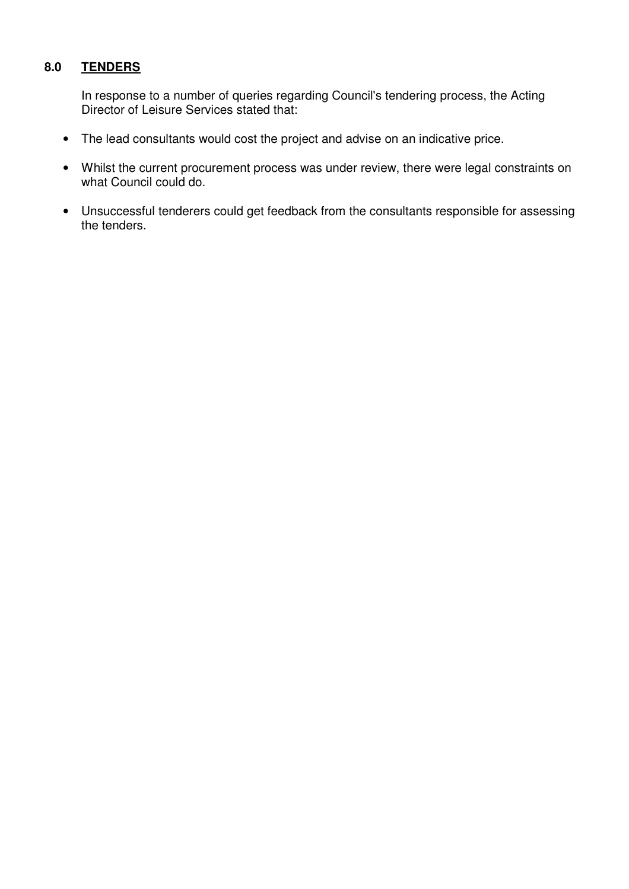# **8.0 TENDERS**

 In response to a number of queries regarding Council's tendering process, the Acting Director of Leisure Services stated that:

- The lead consultants would cost the project and advise on an indicative price.
- Whilst the current procurement process was under review, there were legal constraints on what Council could do.
- Unsuccessful tenderers could get feedback from the consultants responsible for assessing the tenders.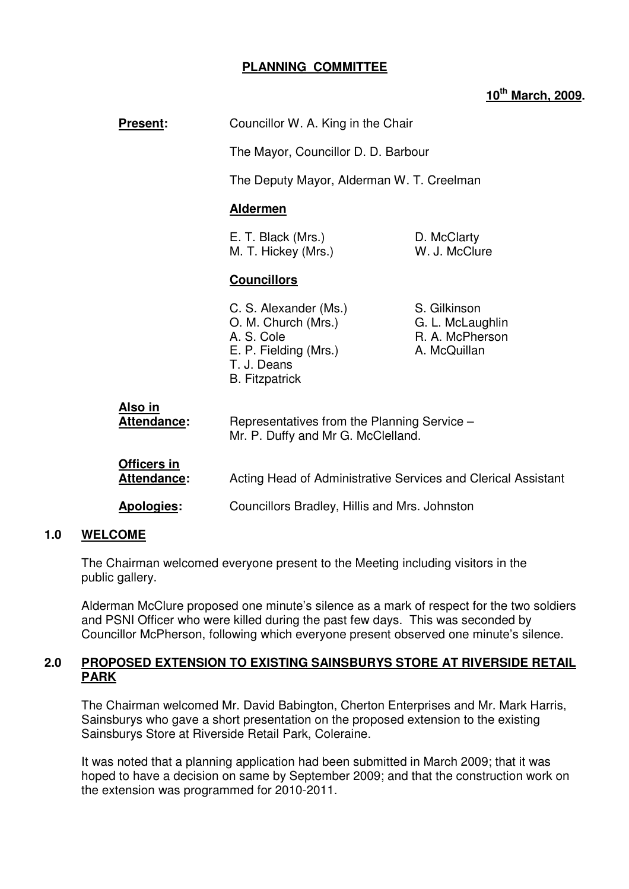# **PLANNING COMMITTEE**

# **10th March, 2009.**

| <b>Present:</b>                        | Councillor W. A. King in the Chair<br>The Mayor, Councillor D. D. Barbour                                                   |                                                                     |
|----------------------------------------|-----------------------------------------------------------------------------------------------------------------------------|---------------------------------------------------------------------|
|                                        |                                                                                                                             |                                                                     |
|                                        | The Deputy Mayor, Alderman W. T. Creelman                                                                                   |                                                                     |
|                                        | <b>Aldermen</b>                                                                                                             |                                                                     |
|                                        | E. T. Black (Mrs.)<br>M. T. Hickey (Mrs.)                                                                                   | D. McClarty<br>W. J. McClure                                        |
|                                        | <b>Councillors</b>                                                                                                          |                                                                     |
|                                        | C. S. Alexander (Ms.)<br>O. M. Church (Mrs.)<br>A. S. Cole<br>E. P. Fielding (Mrs.)<br>T. J. Deans<br><b>B.</b> Fitzpatrick | S. Gilkinson<br>G. L. McLaughlin<br>R. A. McPherson<br>A. McQuillan |
| <u>Also in</u><br><u> Attendance</u> : | Representatives from the Planning Service -<br>Mr. P. Duffy and Mr G. McClelland.                                           |                                                                     |
| Officers in<br><u>Attendance:</u>      | Acting Head of Administrative Services and Clerical Assistant                                                               |                                                                     |
| Apologies:                             | Councillors Bradley, Hillis and Mrs. Johnston                                                                               |                                                                     |

#### **1.0 WELCOME**

The Chairman welcomed everyone present to the Meeting including visitors in the public gallery.

Alderman McClure proposed one minute's silence as a mark of respect for the two soldiers and PSNI Officer who were killed during the past few days. This was seconded by Councillor McPherson, following which everyone present observed one minute's silence.

### **2.0 PROPOSED EXTENSION TO EXISTING SAINSBURYS STORE AT RIVERSIDE RETAIL PARK**

The Chairman welcomed Mr. David Babington, Cherton Enterprises and Mr. Mark Harris, Sainsburys who gave a short presentation on the proposed extension to the existing Sainsburys Store at Riverside Retail Park, Coleraine.

It was noted that a planning application had been submitted in March 2009; that it was hoped to have a decision on same by September 2009; and that the construction work on the extension was programmed for 2010-2011.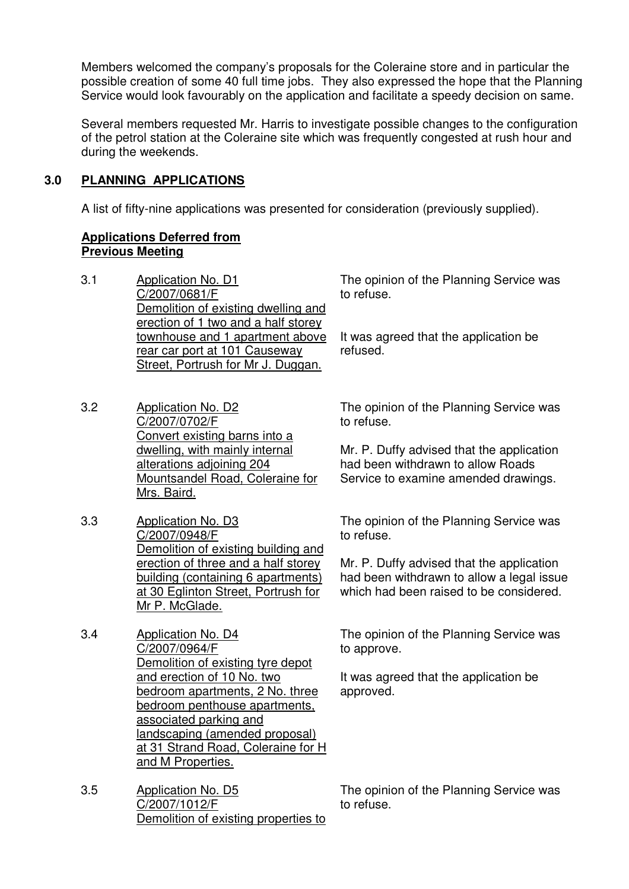Members welcomed the company's proposals for the Coleraine store and in particular the possible creation of some 40 full time jobs. They also expressed the hope that the Planning Service would look favourably on the application and facilitate a speedy decision on same.

Several members requested Mr. Harris to investigate possible changes to the configuration of the petrol station at the Coleraine site which was frequently congested at rush hour and during the weekends.

# **3.0 PLANNING APPLICATIONS**

A list of fifty-nine applications was presented for consideration (previously supplied).

# **Applications Deferred from Previous Meeting**

- 3.1 Application No. D1 C/2007/0681/F Demolition of existing dwelling and erection of 1 two and a half storey townhouse and 1 apartment above rear car port at 101 Causeway Street, Portrush for Mr J. Duggan.
- 3.2 Application No. D2 C/2007/0702/F Convert existing barns into a dwelling, with mainly internal alterations adjoining 204 Mountsandel Road, Coleraine for Mrs. Baird.
- 3.3 Application No. D3 C/2007/0948/F Demolition of existing building and erection of three and a half storey building (containing 6 apartments) at 30 Eglinton Street, Portrush for Mr P. McGlade.
- 3.4 Application No. D4 C/2007/0964/F Demolition of existing tyre depot and erection of 10 No. two bedroom apartments, 2 No. three bedroom penthouse apartments, associated parking and landscaping (amended proposal) at 31 Strand Road, Coleraine for H and M Properties.
- 3.5 Application No. D5 C/2007/1012/F Demolition of existing properties to

The opinion of the Planning Service was to refuse.

It was agreed that the application be refused.

The opinion of the Planning Service was to refuse.

Mr. P. Duffy advised that the application had been withdrawn to allow Roads Service to examine amended drawings.

The opinion of the Planning Service was to refuse.

Mr. P. Duffy advised that the application had been withdrawn to allow a legal issue which had been raised to be considered.

The opinion of the Planning Service was to approve.

It was agreed that the application be approved.

The opinion of the Planning Service was to refuse.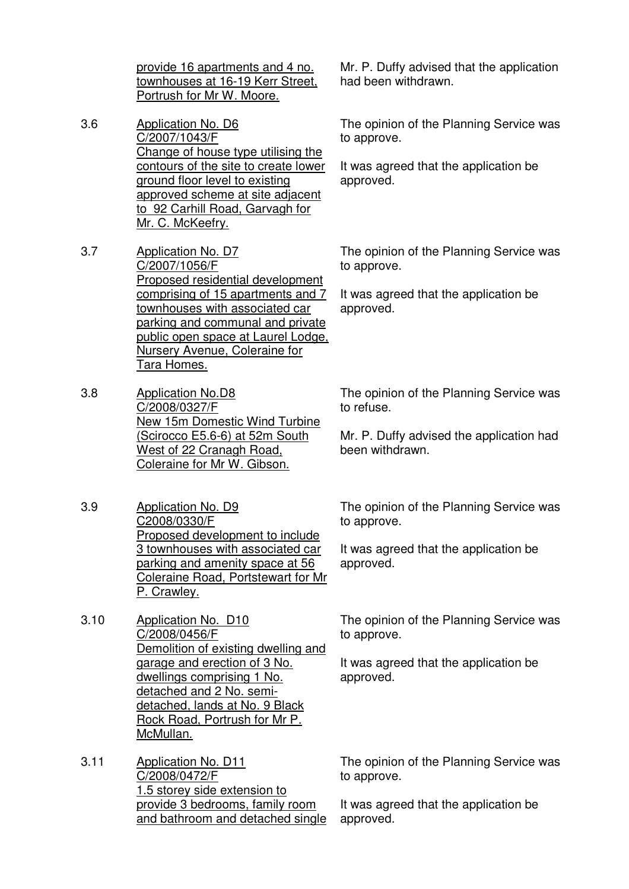provide 16 apartments and 4 no. townhouses at 16-19 Kerr Street, Portrush for Mr W. Moore.

- 3.6 Application No. D6 C/2007/1043/F Change of house type utilising the contours of the site to create lower ground floor level to existing approved scheme at site adjacent to 92 Carhill Road, Garvagh for Mr. C. McKeefry.
- 3.7 Application No. D7 C/2007/1056/F Proposed residential development comprising of 15 apartments and 7 townhouses with associated car parking and communal and private public open space at Laurel Lodge, Nursery Avenue, Coleraine for Tara Homes.
- 3.8 Application No.D8 C/2008/0327/F New 15m Domestic Wind Turbine (Scirocco E5.6-6) at 52m South West of 22 Cranagh Road, Coleraine for Mr W. Gibson.
- 3.9 Application No. D9 C2008/0330/F Proposed development to include 3 townhouses with associated car parking and amenity space at 56 Coleraine Road, Portstewart for Mr P. Crawley.
- 3.10 Application No. D10 C/2008/0456/F Demolition of existing dwelling and garage and erection of 3 No. dwellings comprising 1 No. detached and 2 No. semidetached, lands at No. 9 Black Rock Road, Portrush for Mr P. McMullan.
- 3.11 Application No. D11 C/2008/0472/F 1.5 storey side extension to provide 3 bedrooms, family room and bathroom and detached single

Mr. P. Duffy advised that the application had been withdrawn.

The opinion of the Planning Service was to approve.

It was agreed that the application be approved.

The opinion of the Planning Service was to approve.

It was agreed that the application be approved.

The opinion of the Planning Service was to refuse.

Mr. P. Duffy advised the application had been withdrawn.

The opinion of the Planning Service was to approve.

It was agreed that the application be approved.

The opinion of the Planning Service was to approve.

It was agreed that the application be approved.

The opinion of the Planning Service was to approve.

It was agreed that the application be approved.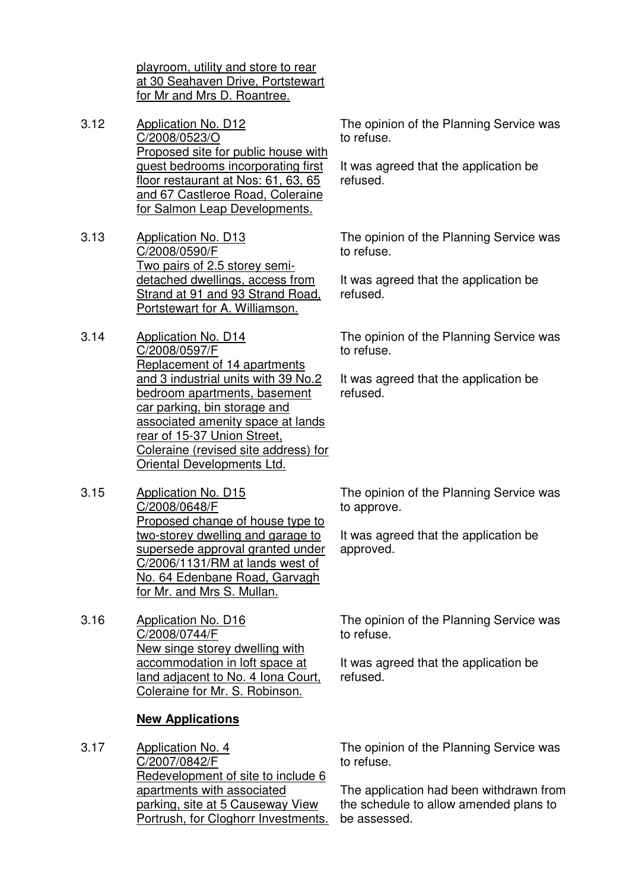playroom, utility and store to rear at 30 Seahaven Drive, Portstewart for Mr and Mrs D. Roantree.

- 3.12 Application No. D12 C/2008/0523/O Proposed site for public house with guest bedrooms incorporating first floor restaurant at Nos: 61, 63, 65 and 67 Castleroe Road, Coleraine for Salmon Leap Developments.
- 3.13 Application No. D13 C/2008/0590/F Two pairs of 2.5 storey semidetached dwellings, access from Strand at 91 and 93 Strand Road, Portstewart for A. Williamson.
- 3.14 Application No. D14 C/2008/0597/F Replacement of 14 apartments and 3 industrial units with 39 No.2 bedroom apartments, basement car parking, bin storage and associated amenity space at lands rear of 15-37 Union Street, Coleraine (revised site address) for Oriental Developments Ltd.
- 3.15 Application No. D15 C/2008/0648/F Proposed change of house type to two-storey dwelling and garage to supersede approval granted under C/2006/1131/RM at lands west of No. 64 Edenbane Road, Garvagh for Mr. and Mrs S. Mullan.
- 3.16 Application No. D16 C/2008/0744/F New singe storey dwelling with accommodation in loft space at land adjacent to No. 4 Iona Court, Coleraine for Mr. S. Robinson.

# **New Applications**

3.17 Application No. 4 C/2007/0842/F Redevelopment of site to include 6 apartments with associated parking, site at 5 Causeway View Portrush, for Cloghorr Investments. The opinion of the Planning Service was to refuse.

It was agreed that the application be refused.

The opinion of the Planning Service was to refuse.

It was agreed that the application be refused.

The opinion of the Planning Service was to refuse.

It was agreed that the application be refused.

The opinion of the Planning Service was to approve.

It was agreed that the application be approved.

The opinion of the Planning Service was to refuse.

It was agreed that the application be refused.

The opinion of the Planning Service was to refuse.

The application had been withdrawn from the schedule to allow amended plans to be assessed.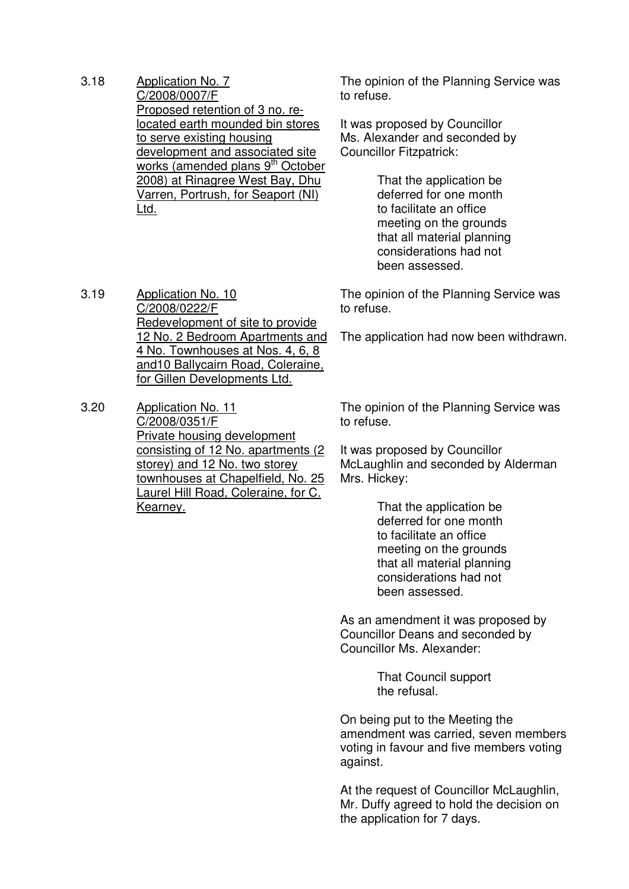3.18 Application No. 7 C/2008/0007/F Proposed retention of 3 no. relocated earth mounded bin stores to serve existing housing development and associated site works (amended plans 9<sup>th</sup> October 2008) at Rinagree West Bay, Dhu Varren, Portrush, for Seaport (NI) Ltd.

3.19 Application No. 10

C/2008/0222/F

The opinion of the Planning Service was to refuse.

It was proposed by Councillor Ms. Alexander and seconded by Councillor Fitzpatrick:

> That the application be deferred for one month to facilitate an office meeting on the grounds that all material planning considerations had not been assessed.

The opinion of the Planning Service was to refuse.

The application had now been withdrawn.

for Gillen Developments Ltd. 3.20 Application No. 11 C/2008/0351/F Private housing development consisting of 12 No. apartments (2 storey) and 12 No. two storey townhouses at Chapelfield, No. 25 Laurel Hill Road, Coleraine, for C. Kearney.

Redevelopment of site to provide 12 No. 2 Bedroom Apartments and 4 No. Townhouses at Nos. 4, 6, 8 and10 Ballycairn Road, Coleraine,

> The opinion of the Planning Service was to refuse.

It was proposed by Councillor McLaughlin and seconded by Alderman Mrs. Hickey:

> That the application be deferred for one month to facilitate an office meeting on the grounds that all material planning considerations had not been assessed.

As an amendment it was proposed by Councillor Deans and seconded by Councillor Ms. Alexander:

> That Council support the refusal.

On being put to the Meeting the amendment was carried, seven members voting in favour and five members voting against.

At the request of Councillor McLaughlin, Mr. Duffy agreed to hold the decision on the application for 7 days.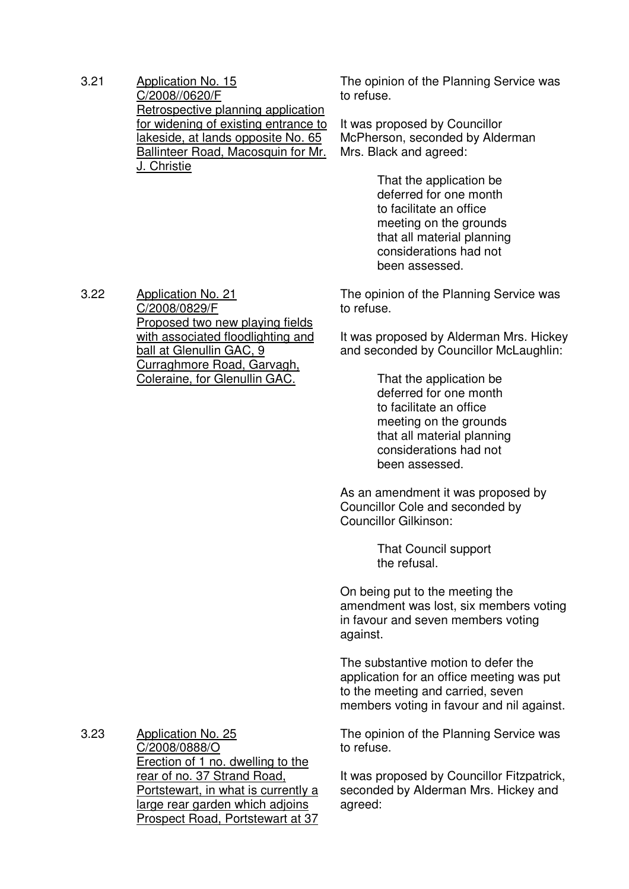3.21 Application No. 15 C/2008//0620/F Retrospective planning application for widening of existing entrance to lakeside, at lands opposite No. 65 Ballinteer Road, Macosquin for Mr. J. Christie

The opinion of the Planning Service was to refuse.

It was proposed by Councillor McPherson, seconded by Alderman Mrs. Black and agreed:

> That the application be deferred for one month to facilitate an office meeting on the grounds that all material planning considerations had not been assessed.

The opinion of the Planning Service was to refuse.

It was proposed by Alderman Mrs. Hickey and seconded by Councillor McLaughlin:

> That the application be deferred for one month to facilitate an office meeting on the grounds that all material planning considerations had not been assessed.

As an amendment it was proposed by Councillor Cole and seconded by Councillor Gilkinson:

> That Council support the refusal.

On being put to the meeting the amendment was lost, six members voting in favour and seven members voting against.

The substantive motion to defer the application for an office meeting was put to the meeting and carried, seven members voting in favour and nil against.

The opinion of the Planning Service was to refuse.

It was proposed by Councillor Fitzpatrick, seconded by Alderman Mrs. Hickey and agreed:

3.22 Application No. 21 C/2008/0829/F Proposed two new playing fields with associated floodlighting and ball at Glenullin GAC, 9 Curraghmore Road, Garvagh, Coleraine, for Glenullin GAC.

3.23 Application No. 25

C/2008/0888/O Erection of 1 no. dwelling to the rear of no. 37 Strand Road, Portstewart, in what is currently a large rear garden which adjoins Prospect Road, Portstewart at 37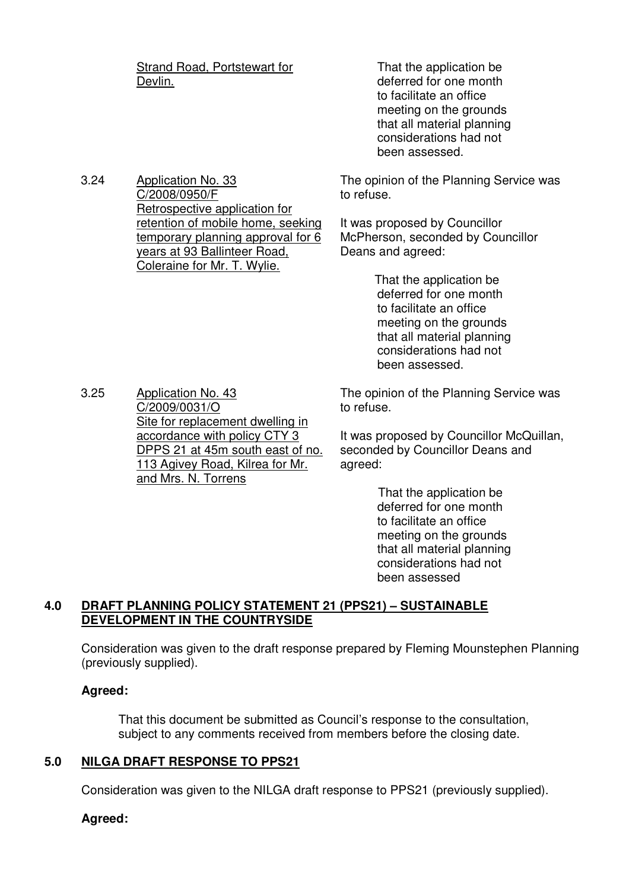Strand Road, Portstewart for Devlin.

 That the application be deferred for one month to facilitate an office meeting on the grounds that all material planning considerations had not been assessed.

3.24 Application No. 33 C/2008/0950/F Retrospective application for retention of mobile home, seeking temporary planning approval for 6 years at 93 Ballinteer Road, Coleraine for Mr. T. Wylie.

The opinion of the Planning Service was to refuse.

It was proposed by Councillor McPherson, seconded by Councillor Deans and agreed:

> That the application be deferred for one month to facilitate an office meeting on the grounds that all material planning considerations had not been assessed.

3.25 Application No. 43 C/2009/0031/O Site for replacement dwelling in accordance with policy CTY 3 DPPS 21 at 45m south east of no. 113 Agivey Road, Kilrea for Mr. and Mrs. N. Torrens

The opinion of the Planning Service was to refuse.

It was proposed by Councillor McQuillan, seconded by Councillor Deans and agreed:

> That the application be deferred for one month to facilitate an office meeting on the grounds that all material planning considerations had not been assessed

# **4.0 DRAFT PLANNING POLICY STATEMENT 21 (PPS21) – SUSTAINABLE DEVELOPMENT IN THE COUNTRYSIDE**

Consideration was given to the draft response prepared by Fleming Mounstephen Planning (previously supplied).

# **Agreed:**

That this document be submitted as Council's response to the consultation, subject to any comments received from members before the closing date.

# **5.0 NILGA DRAFT RESPONSE TO PPS21**

Consideration was given to the NILGA draft response to PPS21 (previously supplied).

# **Agreed:**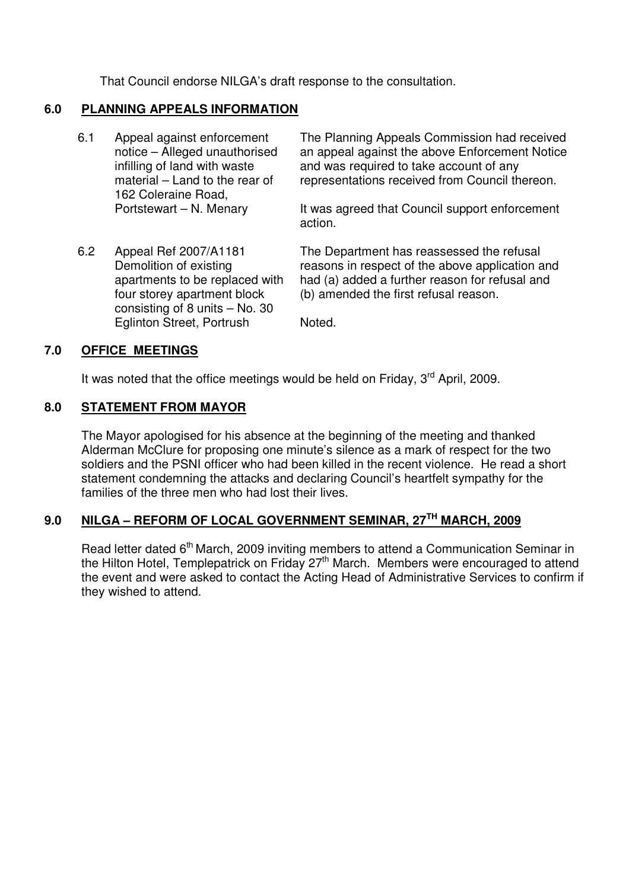That Council endorse NILGA's draft response to the consultation.

# **6.0 PLANNING APPEALS INFORMATION**

6.1 Appeal against enforcement notice – Alleged unauthorised infilling of land with waste material – Land to the rear of 162 Coleraine Road, Portstewart – N. Menary

> apartments to be replaced with four storey apartment block consisting of 8 units – No. 30 Eglinton Street, Portrush

6.2 Appeal Ref 2007/A1181 Demolition of existing

The Planning Appeals Commission had received an appeal against the above Enforcement Notice and was required to take account of any representations received from Council thereon.

It was agreed that Council support enforcement action.

The Department has reassessed the refusal reasons in respect of the above application and had (a) added a further reason for refusal and (b) amended the first refusal reason.

Noted.

# **7.0 OFFICE MEETINGS**

It was noted that the office meetings would be held on Friday,  $3<sup>rd</sup>$  April, 2009.

# **8.0 STATEMENT FROM MAYOR**

The Mayor apologised for his absence at the beginning of the meeting and thanked Alderman McClure for proposing one minute's silence as a mark of respect for the two soldiers and the PSNI officer who had been killed in the recent violence. He read a short statement condemning the attacks and declaring Council's heartfelt sympathy for the families of the three men who had lost their lives.

# **9.0 NILGA – REFORM OF LOCAL GOVERNMENT SEMINAR, 27TH MARCH, 2009**

Read letter dated  $6<sup>th</sup>$  March, 2009 inviting members to attend a Communication Seminar in the Hilton Hotel, Templepatrick on Friday 27th March. Members were encouraged to attend the event and were asked to contact the Acting Head of Administrative Services to confirm if they wished to attend.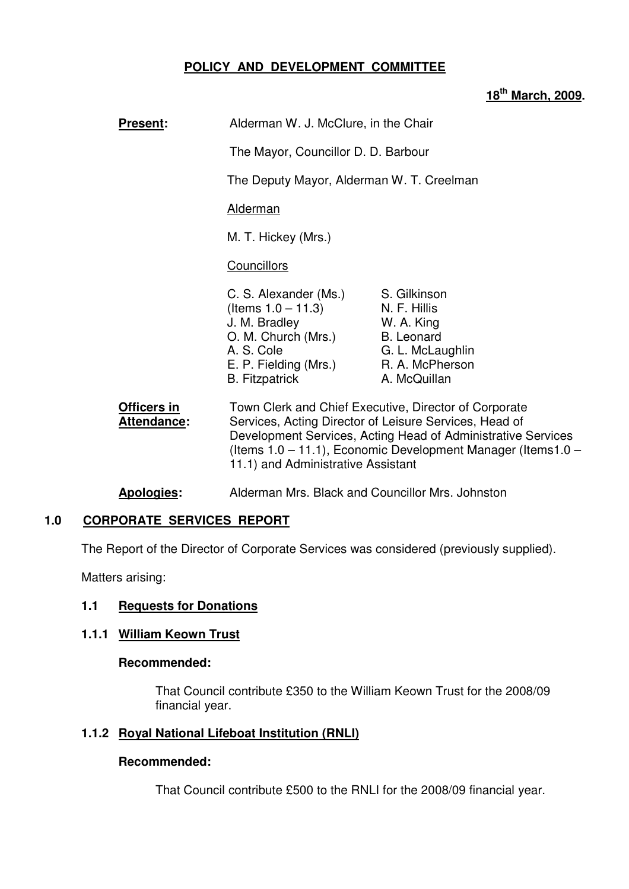# **POLICY AND DEVELOPMENT COMMITTEE**

#### **18th March, 2009.**

| <b>Present:</b>            | Alderman W. J. McClure, in the Chair                                                                                                                                             |                                                                                                                                                                                                                                                  |
|----------------------------|----------------------------------------------------------------------------------------------------------------------------------------------------------------------------------|--------------------------------------------------------------------------------------------------------------------------------------------------------------------------------------------------------------------------------------------------|
|                            | The Mayor, Councillor D. D. Barbour                                                                                                                                              |                                                                                                                                                                                                                                                  |
|                            | The Deputy Mayor, Alderman W. T. Creelman                                                                                                                                        |                                                                                                                                                                                                                                                  |
|                            | Alderman                                                                                                                                                                         |                                                                                                                                                                                                                                                  |
|                            | M. T. Hickey (Mrs.)                                                                                                                                                              |                                                                                                                                                                                                                                                  |
|                            | <b>Councillors</b>                                                                                                                                                               |                                                                                                                                                                                                                                                  |
|                            | C. S. Alexander (Ms.) S. Gilkinson<br>(Items $1.0 - 11.3$ ) N. F. Hillis<br>J. M. Bradley<br>O. M. Church (Mrs.)<br>A. S. Cole<br>E. P. Fielding (Mrs.)<br><b>B.</b> Fitzpatrick | W. A. King<br><b>B.</b> Leonard<br>G. L. McLaughlin<br>R. A. McPherson<br>A. McQuillan                                                                                                                                                           |
| Officers in<br>Attendance: | 11.1) and Administrative Assistant                                                                                                                                               | Town Clerk and Chief Executive, Director of Corporate<br>Services, Acting Director of Leisure Services, Head of<br>Development Services, Acting Head of Administrative Services<br>(Items 1.0 – 11.1), Economic Development Manager (Items 1.0 – |

# **Apologies:** Alderman Mrs. Black and Councillor Mrs. Johnston

# **1.0 CORPORATE SERVICES REPORT**

The Report of the Director of Corporate Services was considered (previously supplied).

Matters arising:

#### **1.1 Requests for Donations**

#### **1.1.1 William Keown Trust**

#### **Recommended:**

That Council contribute £350 to the William Keown Trust for the 2008/09 financial year.

#### **1.1.2 Royal National Lifeboat Institution (RNLI)**

#### **Recommended:**

That Council contribute £500 to the RNLI for the 2008/09 financial year.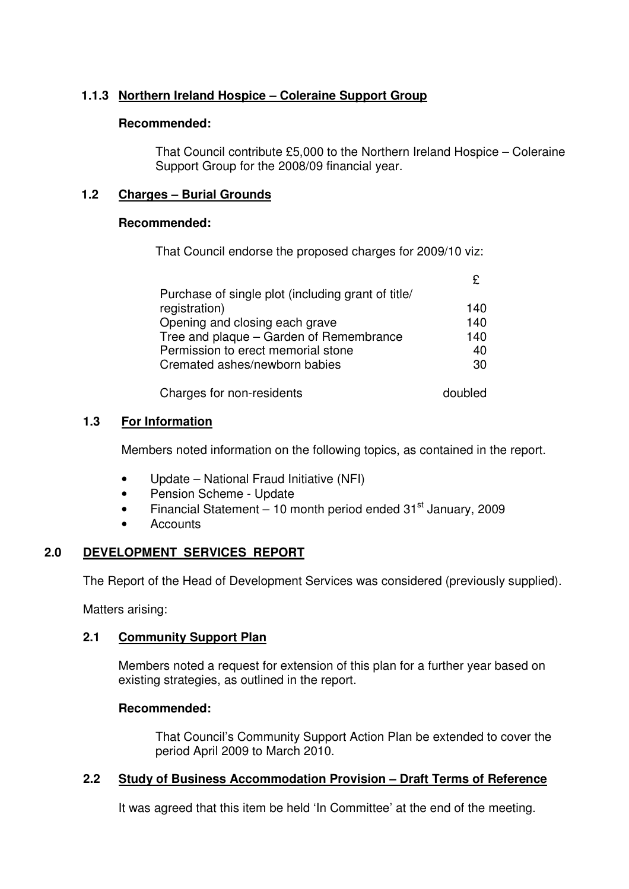# **1.1.3 Northern Ireland Hospice – Coleraine Support Group**

# **Recommended:**

That Council contribute £5,000 to the Northern Ireland Hospice – Coleraine Support Group for the 2008/09 financial year.

# **1.2 Charges – Burial Grounds**

### **Recommended:**

That Council endorse the proposed charges for 2009/10 viz:

| Purchase of single plot (including grant of title/ |         |
|----------------------------------------------------|---------|
| registration)                                      | 140     |
| Opening and closing each grave                     | 140     |
| Tree and plaque – Garden of Remembrance            | 140     |
| Permission to erect memorial stone                 | 40      |
| Cremated ashes/newborn babies                      | 30      |
|                                                    |         |
| Charges for non-residents                          | doubled |

# **1.3 For Information**

Members noted information on the following topics, as contained in the report.

- Update National Fraud Initiative (NFI)
- Pension Scheme Update
- Financial Statement 10 month period ended  $31<sup>st</sup>$  January, 2009
- **Accounts**

# **2.0 DEVELOPMENT SERVICES REPORT**

The Report of the Head of Development Services was considered (previously supplied).

Matters arising:

# **2.1 Community Support Plan**

 Members noted a request for extension of this plan for a further year based on existing strategies, as outlined in the report.

# **Recommended:**

That Council's Community Support Action Plan be extended to cover the period April 2009 to March 2010.

# **2.2 Study of Business Accommodation Provision – Draft Terms of Reference**

It was agreed that this item be held 'In Committee' at the end of the meeting.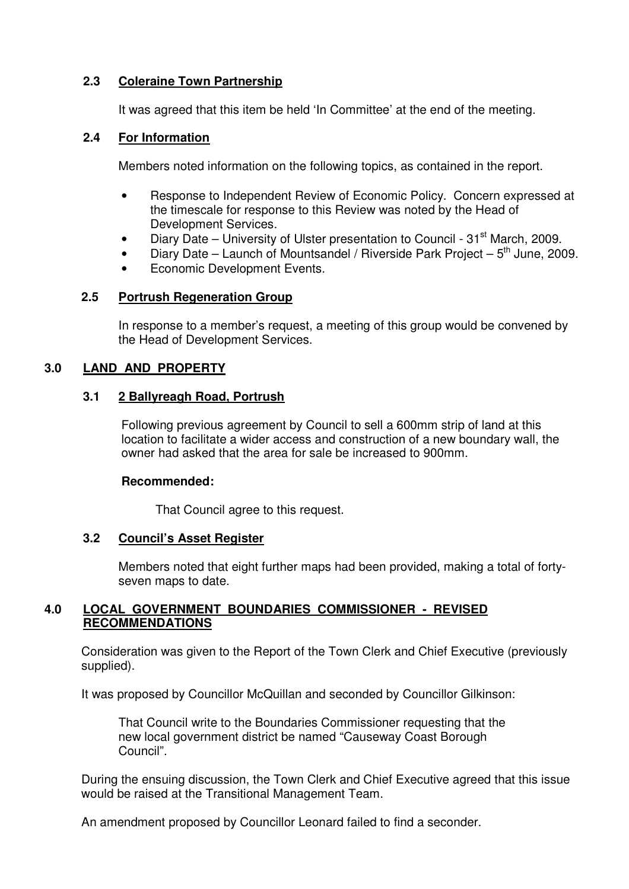# **2.3 Coleraine Town Partnership**

It was agreed that this item be held 'In Committee' at the end of the meeting.

# **2.4 For Information**

Members noted information on the following topics, as contained in the report.

- Response to Independent Review of Economic Policy. Concern expressed at the timescale for response to this Review was noted by the Head of Development Services.
- Diary Date University of Ulster presentation to Council  $31<sup>st</sup>$  March, 2009.
- Diary Date Launch of Mountsandel / Riverside Park Project  $5<sup>th</sup>$  June, 2009.
- Economic Development Events.

# **2.5 Portrush Regeneration Group**

In response to a member's request, a meeting of this group would be convened by the Head of Development Services.

# **3.0 LAND AND PROPERTY**

# **3.1 2 Ballyreagh Road, Portrush**

Following previous agreement by Council to sell a 600mm strip of land at this location to facilitate a wider access and construction of a new boundary wall, the owner had asked that the area for sale be increased to 900mm.

#### **Recommended:**

That Council agree to this request.

#### **3.2 Council's Asset Register**

 Members noted that eight further maps had been provided, making a total of forty seven maps to date.

# **4.0 LOCAL GOVERNMENT BOUNDARIES COMMISSIONER - REVISED RECOMMENDATIONS**

 Consideration was given to the Report of the Town Clerk and Chief Executive (previously supplied).

It was proposed by Councillor McQuillan and seconded by Councillor Gilkinson:

 That Council write to the Boundaries Commissioner requesting that the new local government district be named "Causeway Coast Borough Council".

 During the ensuing discussion, the Town Clerk and Chief Executive agreed that this issue would be raised at the Transitional Management Team.

An amendment proposed by Councillor Leonard failed to find a seconder.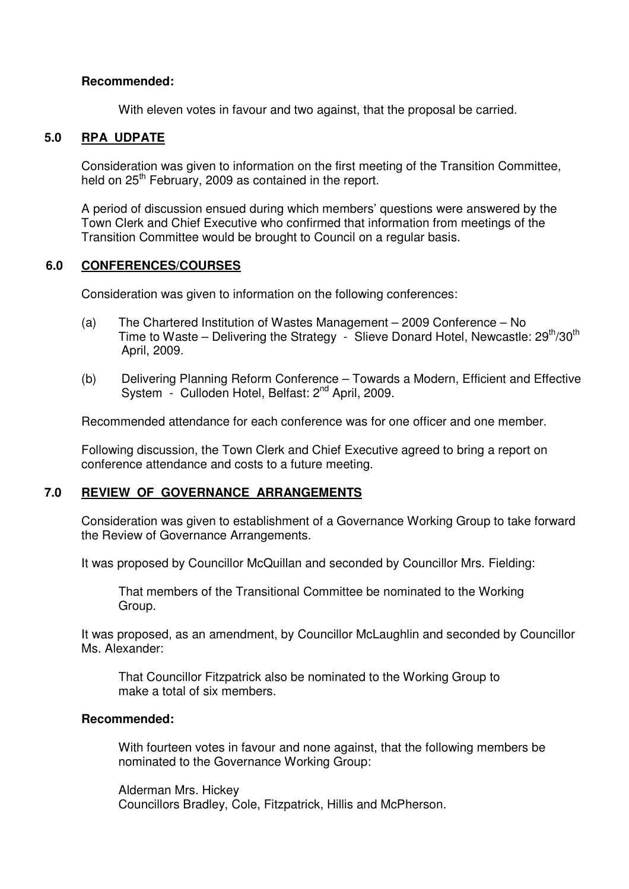### **Recommended:**

With eleven votes in favour and two against, that the proposal be carried.

# **5.0 RPA UDPATE**

Consideration was given to information on the first meeting of the Transition Committee, held on 25<sup>th</sup> February, 2009 as contained in the report.

A period of discussion ensued during which members' questions were answered by the Town Clerk and Chief Executive who confirmed that information from meetings of the Transition Committee would be brought to Council on a regular basis.

### **6.0 CONFERENCES/COURSES**

Consideration was given to information on the following conferences:

- (a) The Chartered Institution of Wastes Management 2009 Conference No Time to Waste – Delivering the Strategy - Slieve Donard Hotel, Newcastle: 29<sup>th</sup>/30<sup>th</sup> April, 2009.
- (b) Delivering Planning Reform Conference Towards a Modern, Efficient and Effective System - Culloden Hotel, Belfast: 2<sup>nd</sup> April, 2009.

Recommended attendance for each conference was for one officer and one member.

Following discussion, the Town Clerk and Chief Executive agreed to bring a report on conference attendance and costs to a future meeting.

# **7.0 REVIEW OF GOVERNANCE ARRANGEMENTS**

Consideration was given to establishment of a Governance Working Group to take forward the Review of Governance Arrangements.

It was proposed by Councillor McQuillan and seconded by Councillor Mrs. Fielding:

 That members of the Transitional Committee be nominated to the Working Group.

It was proposed, as an amendment, by Councillor McLaughlin and seconded by Councillor Ms. Alexander:

 That Councillor Fitzpatrick also be nominated to the Working Group to make a total of six members.

#### **Recommended:**

With fourteen votes in favour and none against, that the following members be nominated to the Governance Working Group:

Alderman Mrs. Hickey Councillors Bradley, Cole, Fitzpatrick, Hillis and McPherson.